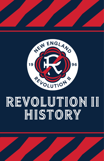



# REVOLUTION II HISTORY

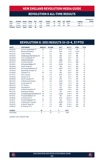## REVOLUTION II ALL-TIME rESULTS

|                       |               |                  |              |                      |            |               |    |      |    |             |                   | Postseason               |
|-----------------------|---------------|------------------|--------------|----------------------|------------|---------------|----|------|----|-------------|-------------------|--------------------------|
| Year                  | Overall       | <b>Home Away</b> |              | $\rightarrow$ Pts. . | <b>PPG</b> | <b>Finish</b> | GF | GPG  | GA | <b>GAPG</b> | League            | Finish                   |
| 2020                  | $5 - 8 - 3$   | $2 - 4 - 2$      | $3 - 4 - 1$  | 18                   | 1.13       | Ninth         | 19 | 1.19 | 26 | 1.63        | USL <sub>L1</sub> | $\overline{\phantom{0}}$ |
| 2021                  | $11 - 13 - 4$ | $8-4-2$ $3-9-2$  |              | 37                   | 1.32       | Eiath         | 36 | 1.29 | 39 | 1.39        | USL <sub>L1</sub> |                          |
| <b>TOTALS 16-21-7</b> |               | $10 - 8 - 4$     | $6 - 13 - 3$ | 55                   | 1.13       |               |    |      |    |             |                   |                          |

## REVOLUTION II: 2021 rESULTS (11-13-4, 37 pts)

| <b>DATE</b>       | <b>OPPONENT</b>              | <b>RESULT</b> | <b>SCORE</b> | ATT.           | $W-L-T$       | POS.  | <b>PTS</b>     |
|-------------------|------------------------------|---------------|--------------|----------------|---------------|-------|----------------|
| 04/10/21          | at Fort Lauderdale CF        | W             | $1 - 0$      | N/A            | $1 - 0 - 0$   | 1st   | 3              |
| 04/17/21          | <b>Richmond Kickers</b>      | L             | $0 - 3$      | N/A            | $1 - 1 - 0$   | T-2nd | 3              |
| 05/12/21          | <b>Union Omaha</b>           | L             | $0 - 1$      | 150            | $1 - 2 - 0$   | 6th   | 3              |
| 05/16/21          | Chattanooga Red Wolves SC    | T             | $2 - 2$      | 500            | $1 - 2 - 1$   | 8th   | 4              |
| 05/28/21          | Fort Lauderdale CF           | W             | $1 - 0$      | 100            | $2 - 2 - 1$   | 7th   | $\overline{7}$ |
| 06/05/21          | at Richmond Kickers          | Г             | $2 - 3$      | 2,360          | $2 - 3 - 1$   | 9th   | $\overline{7}$ |
| 06/12/21          | at Union Omaha               | L             | $2 - 4$      | 3,677          | $2 - 4 - 1$   | 10th  | $\overline{7}$ |
| 06/19/21          | at Forward Madison FC        | W             | $2 - 0$      | 3,208          | $3 - 4 - 1$   | 9th   | 10             |
| 06/26/21          | North Texas SC               | W             | $3 - 0$      | 150            | $4 - 4 - 1$   | 6th   | 13             |
| 06/30/21          | at Forward Madison FC        | Г             | $0 - 1$      | 3,607          | $4 - 5 - 1$   | 8th   | 13             |
| 07/04/21          | Greenville Triumph SC        | L             | $0 - 3$      | 125            | $4 - 6 - 1$   | 9th   | 13             |
| 07/09/21          | Toronto FC II                | W             | $1 - 0$      | 100            | $5 - 6 - 1$   | 5th   | 16             |
| 07/17/21          | at FC Tucson                 | L             | $2 - 4$      | N/A            | $5 - 7 - 1$   | 8th   | 16             |
| 07/23/21          | Toronto FC II                | W             | $1 - 0$      | 120            | $6 - 7 - 1$   | 5th   | 19             |
| 08/05/21          | North Carolina FC            | W             | $3 - 0$      | 100            | $7 - 7 - 1$   | 4th   | 22             |
| 08/14/21          | at Richmond Kickers          | T             | $2 - 2$      | 1,445          | $7 - 7 - 2$   | 4th   | 23             |
| 08/21/21          | at Tormenta FC               | T             | $1 - 1$      | 1.324          | $7 - 7 - 3$   | 3rd   | 24             |
| 09/01/21          | FC Tucson                    | L             | $1 - 2$      | 100            | $7 - 8 - 3$   | 8th   | 24             |
| 09/05/21          | Tormenta FC                  | T             | $1 - 1$      | 125            | $7 - 8 - 4$   | 7th   | 25             |
| 09/11/21          | at North Carolina FC         | L             | $1 - 4$      | 2,249          | $7 - 9 - 4$   | 9th   | 25             |
| 09/17/21          | <b>Richmond Kickers</b>      | W             | $3 - 1$      | 125            | $8 - 9 - 4$   | 6th   | 28             |
| 09/25/21          | at Chattanooga Red Wolves SC | W             | $1 - 0$      | 2,005          | $9 - 9 - 4$   | 5th   | 31             |
| 10/01/21          | Forward Madison FC           | W             | $1 - 0$      | 120            | $10 - 9 - 4$  | 4th   | 34             |
| 10/09/21          | at Toronto FC II             | L             | $0 - 1$      | N/A            | $10-10-4$     | 5th   | 34             |
| 10/12/21          | Forward Madison FC           | W             | $1 - 0$      | 150            | $11 - 10 - 4$ | 4th   | 37             |
| 10/16/21          | at Greenville Triumph        | L             | $0 - 1$      | 3,056          | $11 - 11 - 4$ | 5th   | 37             |
| 10/23/21          | at North Texas SC            | L             | $1 - 4$      | 880            | $11 - 12 - 4$ | 6th   | 37             |
| 10/29/21          | at Toronto FC II             | L             | $0 - 1$      | N/A            | $11 - 13 - 4$ | 8th   | 37             |
| <b>COACH</b>      |                              | W             | L            | т              | PCT.          |       |                |
| <b>Clint Peav</b> |                              | 11            | 13           | $\overline{4}$ | .464          |       |                |

*LEAGUE: USL LEAGUE ONE*

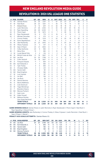## NEW ENGLAND REVOLUTION MEDIA GUIDE REVOLUTION II: 2021 USL LEAGUE ONE STATISTICS

|    |    | # POS PLAYER                                 | GP             | GS             | MIN            | G              | А              |                | SHT SOG         | FC                       | FS              | OFF TKL                  |                | C                        | Е                   |
|----|----|----------------------------------------------|----------------|----------------|----------------|----------------|----------------|----------------|-----------------|--------------------------|-----------------|--------------------------|----------------|--------------------------|---------------------|
| 72 | M  | Damian Rivera                                | 25             | 25             | 2,101          | 6              | 1              | 67             | 23              | 23                       | 27              | $\overline{7}$           | 38             | $\overline{c}$           | $\mathbf 0$         |
| 61 | M  | Noel Buck                                    | 28             | 22             | 1,921          | 5              | 1              | 35             | 12 <sup>°</sup> | 19                       | 12              | 1                        | 32             | $\overline{c}$           | $\mathbf 0$         |
| 19 | F  | <b>Fdward Kizza</b>                          | 12             | 12             | 1.011          | 5              | $\Omega$       | 32             | 18              | 16                       | 16              | $\overline{\phantom{0}}$ | 3              | 3                        | $\mathbf 0$         |
| 12 | F  | <b>Justin Rennicks</b>                       | 27             | 26             | 2,153          | 5              | 3              | 42             | 19              | 28                       | 34              | 10 <sup>10</sup>         | 18             | $\overline{\phantom{a}}$ | $\mathbf 0$         |
| 34 | D  | Ryan Spaulding                               | 28             | 26             | 2,333          | 3              | $\mathbf{1}$   | 51             | 9               | 24                       | 36              | 0                        | 55             | $\mathbf{1}$             | $\overline{0}$      |
| 44 | D  | Pierre Cayet                                 | 20             | 19             | 1.673          | $\mathfrak{p}$ | 0              | $\overline{7}$ | 4               | 28                       | 15              | 0                        | 30             | $\mathbf{1}$             | 0                   |
| 99 | F  | Ryan Sierakowski                             | 15             | 9              | 775            | $\mathfrak{p}$ | $\Omega$       | 16             | 3               | 9                        | 15              | 1                        | 9              | $\Omega$                 | $\mathbf 0$         |
| 52 | F  | <b>Michael Tsicoulias</b>                    | 12             | $\overline{c}$ | 273            | $\mathfrak{p}$ | $\Omega$       | 6              | 4               | 3                        | 3               | Ó                        | $\overline{2}$ | $\mathbf 0$              | $\mathbf 0$         |
| 7  | F  | Connor Presley                               | 17             | 16             | 1.214          | 1              | 3              | 22             | 5               | 20                       | 18              | 0                        | 26             | 3                        | $\mathbf 0$         |
| 47 | M  | Esmir Bajraktarevic                          | 11             | 5              | 455            | 1              | $\Omega$       | 8              | 3               | $\mathfrak{p}$           | 5               | $\mathbf{1}$             | 6              | $\mathbf{1}$             | $\mathbf 0$         |
| 32 | M  | Jake Rozhansky                               | 23             | 23             | 1.943          | $\Omega$       | 6              | 8              | $\mathfrak{p}$  | 54                       | 34              | $\overline{0}$           | 29             | 9                        | $\mathbf 0$         |
| 53 | M  | Hikaru Fujiwara                              | 21             | $\overline{4}$ | 617            | $\Omega$       | 3              | $12^{12}$      | 4               | 5                        | 24              | 1                        | 6              | $\mathbf{1}$             | $\mathbf 0$         |
| 40 | M  | Sean O'Hearn                                 | 24             | 21             | 1.853          | 0              | 1              | $\overline{7}$ | 1               | 22                       | 18              | 1                        | 47             | 6                        | $\mathbf 0$         |
| 41 | D  | Colby Quiñones                               | 20             | 9              | 992            | $\Omega$       | 1              | $\overline{7}$ | 3               | 16                       | 12 <sup>2</sup> | $\overline{2}$           | 17             | $\overline{c}$           | $\mathbf 0$         |
| 36 | F  | Meny Silva                                   | 15             | $\mathbf{1}$   | 380            | $\Omega$       | 1              | 12             | 4               | 6                        | 12              | $\overline{c}$           | $\overline{7}$ | $\mathbf 0$              | $\overline{0}$      |
| 6  | M  | Lucas Maciel Felix                           | 4              | 4              | 314            | $\Omega$       | 1              | $\overline{c}$ | 0               | 6                        | $\mathbf 0$     | 0                        | $\overline{0}$ | $\overline{c}$           | $\mathbf 0$         |
| 48 | M  | Michel Costa da Silva                        | 21             | 18             | 1.607          | 0              | $\overline{0}$ | 17             | $\mathfrak{p}$  | 26                       | 59              | $\mathfrak{p}$           | 23             | $\overline{7}$           | 0                   |
| 51 | GK | Joe Rice                                     | 20             | 20             | 1.799          | 0              | 0              | 0              | O               | $\overline{\phantom{0}}$ | 5               | Ó                        | $\mathbf 0$    | 5                        | 1                   |
| 35 | D  | Collin Verfurth                              | 19             | 18             | 1.627          | $\Omega$       | Ó              | 8              | 1               | 17                       | $\overline{2}$  | 1                        | 13             | 5                        | 1                   |
| 60 | D  | François Dulysse                             | 11             | 7              | 625            | $\Omega$       | $\Omega$       | 5              | 1               | 10                       | 1               | 0                        | 11             | 4                        | $\mathbf 0$         |
| 90 | GK | Earl Edwards Jr.                             | 4              | 4              | 360            | $\Omega$       | $\Omega$       | $\Omega$       | 0               | $\Omega$                 | 0               | 0                        | $\overline{0}$ | $\mathbf{1}$             | $\mathbf 0$         |
| 54 | D  | <b>Tvler Freitas</b>                         | 9              | 5              | 450            | $\Omega$       | 0              | 1              | 0               | 3                        | 5               | 0                        | 9              | 1                        | $\mathbf 0$         |
| 38 | D  | Christian Mafla                              | 3              | 3              | 231            | $\Omega$       | 0              | 4              | 1               | $\overline{2}$           | 11              | $\overline{c}$           | 11             | $\mathbf{1}$             | $\mathbf 0$         |
| 70 | GK | Yannik Oettl                                 | 3              | $\overline{c}$ | 181            | $\Omega$       | $\Omega$       | 0              | $\Omega$        | $\Omega$                 | $\Omega$        | $\overline{0}$           | $\Omega$       | $\Omega$                 | $\overline{0}$      |
| 18 | GK | <b>Brad Knighton</b>                         | $\overline{c}$ | $\overline{c}$ | 180            | $\Omega$       | 0              | 0              | O               | 1                        | 0               | Ó                        | $\overline{0}$ | $\mathbf{1}$             | 0                   |
| 27 | M  | Luis Caicedo                                 | $\overline{c}$ | $\overline{c}$ | 167            | 0              | 0              | $\mathfrak{p}$ | 0               | 6                        | 5               | 0                        | 3              | 1                        | $\mathbf 0$         |
| 23 | D  | Jon Bell                                     | 3              | 3              | 194            | O              | 0              | $\Omega$       | O               | $\overline{2}$           | 1               | $\overline{0}$           | 3              | $\Omega$                 | $\mathbf 0$         |
| 49 | M  | Joe Buck                                     | $\overline{c}$ | 1              | 93             | $\Omega$       | $\overline{0}$ | 1              | $\Omega$        | 1                        | 0               | Ó                        | 1              | $\mathbf{1}$             | $\mathbf 0$         |
| 37 | M  | Dennis Ramirez                               | 8              | Ó              | 77             | $\Omega$       | 0              | 1              | 1               | 4                        | $\overline{2}$  | Ó                        | 7              | $\mathbf{1}$             | $\mathbf 0$         |
| 45 | D  | <b>Morris Matthews</b>                       | 1              | $\overline{0}$ | 14             | $\Omega$       | $\overline{0}$ | $\Omega$       | $\overline{0}$  | 0                        | $\overline{0}$  | Ó                        | 0              | $\mathbf 0$              | $\mathbf 0$         |
| 55 | D  | <b>Cole Dewhurst</b>                         | 1              | $\overline{0}$ | 8              | $\Omega$       | $\overline{0}$ | $\Omega$       | 0               | $\Omega$                 | $\Omega$        | 0                        | $\Omega$       | $\Omega$                 | $\mathbf 0$         |
| 33 | M  | Tiago Mendonça                               | 0              | Ó              | 0              | 0              | 0              | 0              | 0               | 0                        | 0               | Ó                        | 0              | $\mathbf 0$              | $\mathbf 0$         |
| 42 | F  | Brandonn Bueno                               | 0              | $\Omega$       | 0              | $\Omega$       | $\Omega$       | 0              | $\Omega$        | 0                        | $\Omega$        | $\overline{0}$           | $\Omega$       | $\Omega$                 | $\mathbf 0$         |
| 50 | GK | Marzug Puckerin                              | 0              | $\overline{0}$ | 0              | $\Omega$       | $\Omega$       | $\Omega$       | 0               | $\Omega$                 | $\overline{0}$  | $\overline{0}$           | $\Omega$       | $\Omega$                 | $\mathbf 0$         |
| 59 | F. | <b>Isaie Louis</b>                           | 0              | $\Omega$       | 0              | $\Omega$       | $\Omega$       | 0              | $\Omega$        | 0                        | 0               | 0                        | 0              | $\mathbf 0$              | $\mathbf 0$         |
| 64 | M  | Aidan Farwell                                | 0              | $\overline{0}$ | $\Omega$       | 0              | $\overline{0}$ | $\Omega$       | $\overline{0}$  | $\Omega$                 | $\Omega$        | $\overline{0}$           | $\Omega$       | $\mathbf 0$              | $\mathbf 0$         |
| 71 | M  | Matiwos Rumley                               | 0              | $\overline{0}$ | $\Omega$       | $\Omega$       | $\Omega$       | $\Omega$       | $\Omega$        | $\Omega$                 | $\Omega$        | $\Omega$                 | $\Omega$       | $\Omega$                 | $\overline{0}$      |
|    |    | Own Goals Received                           |                |                |                | 1              |                |                |                 |                          |                 |                          |                |                          |                     |
|    |    | <b>TEAM TOTALS</b><br><b>OPPONENT TOTALS</b> | 28<br>28       | 28<br>28       | 2,520<br>2,520 | 33<br>39       | 23<br>32       | 369<br>361     | 118<br>129      | 364<br>391               | 391<br>364      | 40<br>52                 | 406<br>481     | 61<br>43                 | $\overline{2}$<br>3 |

**GAME-WINNING GOALS:** Damian Rivera 3; Justin Rennicks 3; Ryan Sierakowski 1; Pierre Cayet 1; Noel Buck 1; Ryan Spaulding 1; Edward Kizza 1.

**GAME-WINNING ASSISTS:** Jake Rozhansky 2; Connor Presley 2; Hikaru Fujiwara 1; Justin Rennicks 1; Noel Buck 1; Sean O'Hearn 1; Maciel 1.

**PENALTY KICK GOALS/ATTEMPTS:** Damian Rivera 1/2.

|    | # POS GOALKEEPER                           |              | GP GS          |                 |                 |          |          | MIN SHT SV GA GAA PG PA |              |             | W L      |                | T SO     |                |
|----|--------------------------------------------|--------------|----------------|-----------------|-----------------|----------|----------|-------------------------|--------------|-------------|----------|----------------|----------|----------------|
| 51 | GK Joe Rice                                | 20.          | 20             | 1.799           | 83              | 63       |          | 20 1.00                 | $\Omega$     |             | 9        |                | 4        | 8              |
| 90 | GK Earl Edwards Jr.                        | 4            | $\overline{a}$ | 360             | 14              | 8        |          | 6 1.33                  |              | $0 \quad 1$ | 2        | $\overline{2}$ | $\Omega$ | $\overline{2}$ |
| 70 | GK Yannik Oettl                            |              | $3 \quad 2$    | 180             | 12 <sup>°</sup> | 6        |          | 6 3.00                  | $\Omega$     | $\Omega$    | $\Omega$ | $\overline{2}$ |          | $\Omega$       |
| 18 | GK Brad Knighton                           |              | $2 \quad 2$    | 180             | 18              | 11       |          | 7 3.50                  | $\Omega$     | $\Omega$    | $\Omega$ |                |          | $\Omega$       |
| 50 | <b>GK</b> Marzug Puckerin                  | <sup>o</sup> | $\overline{0}$ | $\Omega$        | $\Omega$        | $\Omega$ | $\Omega$ | 0.00                    | $\Omega$     | $\Omega$    | $\Omega$ | $\Omega$       |          | $\Omega$       |
|    | <b>TEAM TOTALS</b>                         |              |                | 28 28 2.520 129 |                 |          |          | 90 39 1.39              |              | $0\quad 2$  | 11       | 13             | 4        | 10             |
|    | OPPONENT TOTALS 28 28 2.520 118 85 33 1.18 |              |                |                 |                 |          |          |                         | $\mathbf{1}$ | - 9         | 13       | 11             | 4        | $\mathbf{z}$   |

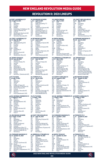## REVOLUTION II: 2021 LINEUPS

| @ FORT LAUDERDALE CF |                               |           | <b>VS. RICHMOND KICKERS</b>        |           | <b>VS. UNION OMAHA</b>  | <b>VS. CHATT. RED WOLVES SC</b> |                         |  |
|----------------------|-------------------------------|-----------|------------------------------------|-----------|-------------------------|---------------------------------|-------------------------|--|
|                      | W, 1-0 April 10, 2021         |           | L. 0-3 April 17, 2021              | $L.0-1$   | May 12, 2021            | T. 2-2                          | May 16, 2021            |  |
| GK                   | Rice                          | GK        | Edwards Jr.                        | GK        | Rice                    | GK                              | Rice                    |  |
| LB                   | Spaulding                     | LВ        | Mafla (Spaulding 77')              | LB        | Spaulding               | <b>LWB</b>                      | Spaulding               |  |
| CB                   | O'Hearn                       | <b>CB</b> | O'Hearn                            | <b>CB</b> | O'Hearn                 | СB                              | O'Hearn                 |  |
| CB                   | <b>Dulysse</b>                | CВ        | <b>Dulysse</b>                     | <b>CB</b> | <b>Dulysse</b>          | CВ                              | Cavet                   |  |
| <b>RB</b>            | Presley                       | <b>RB</b> | Quiñones (Fujiwara 68')            | <b>RB</b> | Preslev                 | <b>RB</b>                       | Preslev                 |  |
| <b>DM</b>            | Rozhansky © (Matthews 76')    | <b>DM</b> | Rozhansky ©                        | LM        | Rivera                  | DM                              | Rozhansky ©             |  |
| <b>CM</b>            | Fujiwara (Ramirez 76')        | СM        | Caicedo (N. Buck 77")              | СM        | J. Buck (N. Buck 79')   | <b>CM</b>                       | Michel (Tsicoulias 90') |  |
| <b>CM</b>            | N. Buck                       | CM        | Rivera (Tsicoulias 77')            | <b>CM</b> | Rozhansky ©             | <b>CM</b>                       | N. Buck (J. Buck 76')   |  |
| <b>RW</b>            | Sierakowski (Dewhurst 82')    | <b>RW</b> | Rennicks (Michel 68 <sup>e</sup> ) | <b>RM</b> | Tsicoulias (Michel 57') | LW                              | Rivera                  |  |
| LW                   | Rivera (Silva 77')            | LW        | Preslev                            | <b>ST</b> | Rennicks                | <b>RW</b>                       | Sierakowski             |  |
| <b>ST</b>            | Rennicks (Tsicoulias 65')     | <b>ST</b> | Sierakowski                        | <b>ST</b> | Sierakowski             | <b>ST</b>                       | Rennicks (Quiñones 76") |  |
|                      | <b>VS. FORT LAUDERDALE CF</b> |           | @ RICHMOND KICKERS                 |           | @ UNION OMAHA           |                                 | @ FORWARD MADISON FC    |  |

|            | $\mathbf{v}_i$ and $\mathbf{v}_i$ and $\mathbf{v}_i$ |
|------------|------------------------------------------------------|
| GK         | Edwards Jr.                                          |
| <b>LWB</b> | Mafla (Spaulding (64')                               |
| CВ         | O'Hearn                                              |
| CВ         | Dulysse                                              |
| CВ         | Cayet 1                                              |
| <b>RWB</b> | Presley                                              |
| DM         | Rozhansky ©                                          |
| <b>CM</b>  | Michel                                               |
| I W        | Rivera (N. Buck 84')                                 |

**VS. NORTH TEXAS SC (ACT MORP OF CHANGE OF AN ABUSING THE VIDENTIFICANCE THIUMPHISC VS. GREEN VIDENCIAL TRIUMPHISC VS. OR ANY A 2021<br>
GK Edwards Jr. Channel Channel Control (1999)<br>
CHANGE CHANNELL CHANGE CHANNELL TRIUMPHI** 

|              | L. 2-4 July 17, 2021      | W. 1-0    | <b>July 23, 2021</b>      |           | W, 3-0 August 5, 2021         | T. 2-2    | <b>August 14, 2021</b> |
|--------------|---------------------------|-----------|---------------------------|-----------|-------------------------------|-----------|------------------------|
| GK           | Rice                      | GK        | Rice                      | GK        | Rice                          | GK        | Rice                   |
| LB           | Spaulding                 | LВ        | Spaulding 2               | LΒ        | Spaulding                     | LΒ        | Spaulding              |
| CB           | Verfurth                  | CВ        | Verfurth                  | CВ        | Verfurth                      | <b>CB</b> | Cayet (Quiñones 41')   |
| $_{RB}^{CB}$ | Cavet                     | CВ        | Cavet                     | CВ        | O'Hearn                       | CВ        | Verfurth               |
|              | Freitas (O'Hearn 81')     | <b>RB</b> | O'Hearn (Ouiñones 86')    | <b>RB</b> | <b>Ouiñones (Preslev 73')</b> | <b>RB</b> | O'Hearn                |
| <b>DM</b>    | Rozhansky © (Ramirez 81') | DM        | Rozhansky                 | DM        | Rozhansky                     | DM        | Rozhansky ©            |
| <b>CM</b>    | Michel (Fujiwara 81')     | СM        | Michel                    | <b>CM</b> | Michel (Ramirez 79')          | <b>CM</b> | Michel                 |
| <b>CM</b>    | N. Buck                   | CM        | N. Buck                   | <b>CM</b> | Buck (Fujiwara 65')           | <b>CM</b> | N. Buck 4              |
| <b>RW</b>    | Rennicks (Tsicoulias 81') | <b>RW</b> | Rennicks (Tsicoulias 76') | <b>RW</b> | Rennicks (Sierakowski 79')    | <b>RW</b> | Presley (Fujiwara 57") |
| LW           | Rivera 3                  | LW        | Rivera (Fujiwara 88')     | LW        | Rivera 4                      | I W       | Rennicks               |
| <b>ST</b>    | Kizza (Sierakowski 269')  | <b>ST</b> | Kizza (Sierakowski 76')   | <b>ST</b> | Kizza 1.2                     | <b>ST</b> | Kizza 3                |

| GK                   | Hice (c)                 |
|----------------------|--------------------------|
| <b>IWB</b>           | Spaulding                |
| CВ                   | Bell (Bajraktarevic 59') |
| <b>C<sub>B</sub></b> | Dulysse                  |
| СB                   | O'Hearn                  |
| <b>RWB</b>           | Quiñones                 |
| RM                   | Presley                  |
| <b>CM</b>            | N. Buck (Ramirez 83')    |
| <b>CM</b>            | Michel                   |
| I M                  | Fujiwara (Silva 59')     |
| ST                   | Kizza 4                  |

|           | W. 3-1 Sept. 17, 2021      | W. 1-0    | Sept. 25, 2021               |           | W. 1-0 October 1, 2021     | L. 0-1    | October 8, 2021            |
|-----------|----------------------------|-----------|------------------------------|-----------|----------------------------|-----------|----------------------------|
| GK        | Rice                       | GK        | Rice                         | GK        | Rice                       | GK        | Rice                       |
| LB        | Spaulding                  | ίB.       | Spaulding (Dulysse 66')      | ιB.       | Spaulding                  | ιB        | Spaulding                  |
| CB        | Bell (Cayet 45')           | CВ        | Cavet                        | CВ        | Cavet                      | <b>CB</b> | Cavet                      |
| CB        | Verfurth                   | CВ        | Verfurth                     | CВ        | Verfurth ©                 | CВ        | Verfurth                   |
| <b>RB</b> | Presley (Quiñones)         | <b>RB</b> | Ouiñones (Michel 62')        | <b>RB</b> | Preslev (Quiñones 16')     | <b>RB</b> | Ouiñones                   |
| <b>DM</b> | Rozhansky ©                | DM        | Rozhansky © (Silva 36')      | DM        | Maciel (Freitas 45')       | DM        | Freitas (O'Hearn 62')      |
| <b>DM</b> | Caicedo                    | СM        | N. Buck                      | СM        | Michel (Dulysse 90'+1)     | <b>CM</b> | Rozhansky © (Fujiwara 62') |
| <b>RM</b> | Bairaktarevic (Silva 77')  | СM        | Bairaktarevic (Fuiiwara 45') | СM        | N. Buck                    | <b>CM</b> | N. Buck                    |
| <b>CM</b> | N. Buck 5 (Fuilwara 90'+5) | <b>RW</b> | Rivera                       | ١W        | Rivera (Bairaktarevic 82') | LW        | Rivera                     |
| LM        | Rivera 6 (Freitas 90'+5)   | LW        | Preslev                      | <b>RW</b> | Rennicks                   | <b>RW</b> | Bairaktarevic              |
| <b>ST</b> | Rennicks <sub>2</sub>      |           | Rennicks 3                   | <b>ST</b> | Kizza 5                    | <b>ST</b> | Rennicks                   |

|            | <b>VS. FORWARD MADISON FC</b>  |           | @ GREENVILLE TRIUMPH SC |            | @ NORTH TEXAS SC         |           | @ TORONTO FC II             |
|------------|--------------------------------|-----------|-------------------------|------------|--------------------------|-----------|-----------------------------|
|            | W. 1-0 October 12, 2021        | C. 0-1    | October 16, 2021        | L. 1-4     | October 23, 2021         | C. 0-1    | October 29, 2021            |
| GK         | Rice                           | GK        | <b>Rice</b>             | GК         | Rice:                    | GK        | Rice (Red Card 90'+4)       |
| LB         | Spaulding                      | LВ        | Spaulding               | LWB        | Spaulding                | LВ        | Spaulding                   |
| <b>CB</b>  | Cavet                          | <b>CB</b> | Cavet (Quiñones 57')    | CВ         | Dulysse (Fuijwara 72')   | CВ        | Verfurth                    |
| CB         | Verfurth                       | <b>CB</b> | Verfurth (Red Card 84') | CВ         | O'Hearn                  | CВ        | <b>Bell</b>                 |
| <b>CB</b>  | O'Hearn (Quiñones 82')         | <b>RB</b> | O'Hearn                 | CВ         | Freitas                  | RB        | O'Hearn                     |
| <b>RWB</b> | Maciel                         | <b>CM</b> | Rozhansky ©             | <b>RWB</b> | Rivera                   | DM        | Maciel (Oettl 90'+6)        |
| DM         | Rozhansky ©                    | <b>CM</b> | Maciel                  | СM         | Rozhansky ©              | <b>CM</b> | Rozhansky ©                 |
| <b>CM</b>  | Rivera (Dulysse 90'+1)         | AM        | N. Buck (Silva 82')     | <b>CM</b>  | N. Buck (Ouiñones 84')   | <b>CM</b> | N. Buck (Bairaktarevic 84') |
| LW         | Silva (Buck 45')               | LW        | Rivera                  | AM         | Bairaktarevic (Silva 61) | LW        | Rivera                      |
| <b>ST</b>  | Rennicks 4 (Bairaktarevic 75') | <b>RW</b> | Rennicks                | <b>ST</b>  | Rennicks 5               | <b>RW</b> | Rennicks                    |
| <b>ST</b>  | Kizza                          |           | Kizza                   |            | Kizza                    | <b>ST</b> | Kizza                       |

| )-3 | April 17, 2021          |
|-----|-------------------------|
|     | Fdwards Ir.             |
|     | Mafla (Spaulding 77')   |
|     | O'Hearn                 |
|     | Dulysse                 |
|     | Quiñones (Fujiwara 68   |
|     | Rozhansky <sup>O</sup>  |
|     | Caicedo (N. Buck 77")   |
|     | Rivera (Tsicoulias 77') |
|     | Rennicks (Michel 68)    |
|     | Preslev                 |
|     | Sierakowski             |
|     |                         |

| . 2-3  | <b>June 5, 2021</b>      |
|--------|--------------------------|
| k      | Knighton                 |
| B<br>B | Spaulding (Fujiwara 68') |
|        | Cavet 2                  |
| R      | O'Hearn                  |
| R      | Ouiñones (Dulysse 69')   |
| VI     | Mafla                    |
| M      | Michel                   |
| M      | N. Buck 2 (Rennicks 45') |
| M      | Rozhansky ©              |
| М      | Rivera                   |
| T      | Kizza (Sierakowski 68')  |
|        |                          |

| , 1-v  | <b>JUIV 23, 2021</b>      |
|--------|---------------------------|
| ć      | Rice                      |
| ξ      | Spaulding 2               |
| 3      | Verfurth                  |
| 3<br>3 | Cavet                     |
|        | O'Hearn (Quiñones 86')    |
| V      | Rozhansky                 |
| VI     | Michel                    |
| VI     | N. Buck                   |
| N      | Rennicks (Tsicoulias 76') |
| y      | Rivera (Fujiwara 88')     |
|        | Kizza (Sierakowski 76')   |
|        |                           |

| <      | <b>Oettl</b>          |
|--------|-----------------------|
| 3<br>3 | Spaulding             |
|        | Verfurth <sup>®</sup> |
| 3      | O'Hearn               |
| ξ      | Ouiñones              |
| VI     | Michel                |
| VI     | N. Buck               |
| VI     | Fujiwara              |
| N      | Presley               |
| y      | Rivera 5 (Silva 69')  |
|        | Rennicks              |
|        |                       |

## **VS. RICHMOND KICKERS @ CHATT. RED WOLVES SC VS. FORWARD MADISON FC @ TORONTO FC II**

| ₹  | Verfurth                   |
|----|----------------------------|
| ₹  | Quiñones (Michel 62')      |
| M  | Rozhansky © (Silva 36')    |
| VI | N. Buck                    |
| VI | Bajraktarevic (Fujiwara 45 |
| Ν  | Rivera                     |
| V  | Presley                    |
|    |                            |

| .   | $m = 1 - 1$             |
|-----|-------------------------|
| àК  | Rice                    |
| в   | Spaulding               |
| ìВ  | O'Hearn                 |
| ìВ  | Dulysse                 |
| łΒ  | Presley                 |
| M   | Rivera                  |
| CM. | J. Buck (N. Buck 79')   |
| M.  | Rozhansky ©             |
| ۱M  | Tsicoulias (Michel 57') |
| ïТ  | Rennicks                |
| ïТ  | Sierakowski             |
|     |                         |

| ., 2-4     | <b>June 12, 2021</b>          |
|------------|-------------------------------|
| àК         | Knighton                      |
| <b>WB</b>  | Spaulding                     |
| ĴВ         | O'Hearn                       |
| ĴВ         | Dulysse (N.Buck 56')          |
| ìВ         | Cayet                         |
| <b>NVB</b> | Presley 1                     |
| CM.        | Rozhansky ©                   |
| CM.        | Michel                        |
| ١M         | Rivera                        |
| ïТ         | Rennicks (Fujiwara 86')       |
| ïТ         | Sierakowski (Tsicoulias 156') |
|            |                               |

## **@ FC TUCSON VS. TORNTO FC II VS. NORTH CAROLINA FC @ RICHMOND KICKERS**

## **@ SO. GEORGIA TORMENTA FC VS. FC TUCSON VS. SO. GEORGIA TORMENTA FC @ NORTH CAROLINA FC**

|            | T, 1-1 August 21, 2021   |           | L. 1-2 Sept. 1, 2021 |            | T. 1-1 Sept. 5, 2021        |           | L. 1-4 Sept. 11, 2021  |
|------------|--------------------------|-----------|----------------------|------------|-----------------------------|-----------|------------------------|
| ĠК         | Rice ©                   | GK        | Oettl                | GK         | Rice                        | GK        | Oettl                  |
| LWB        | Spaulding                | LВ        | Spaulding            | LWB        | Spaulding 3                 | LΒ        | Spaulding              |
| CB         | Bell (Bairaktarevic 59') | CВ        | Verfurth ©           | CВ         | Verfurth ©                  | CВ        | Verfurth               |
| CВ         | <b>Dulysse</b>           | CВ        | O'Hearn              | CВ         | Cavet                       | CВ        | Cavet                  |
| CВ         | O'Hearn                  | RB        | Ouiñones             | CВ         | O'Hearn                     | <b>RB</b> | O'Hearn (Quiñones 46') |
| <b>RWB</b> | <b>Quiñones</b>          | СM        | Michel               | <b>RWB</b> | Presley (Quiñones 78')      | LM        | Rivera (Silva 45')     |
| RM         | Preslev                  | СM        | N. Buck              | DM         | Freitas (Bairaktarevic 79') | <b>CM</b> | N. Buck                |
| <b>CM</b>  | N. Buck (Ramirez 83')    | СM        | Fuiiwara             | <b>CM</b>  | N.Buck                      | <b>CM</b> | Michel (Fuijwara 55')  |
| <b>CM</b>  | Michel                   | <b>RW</b> | Preslev              | <b>CM</b>  | Michel                      | RM        | Preslev                |
| LM         | Fuijwara (Silva 59')     | LW        | Rivera 5 (Silva 69') | AM         | Rivera                      | <b>ST</b> | Bairaktarevic 1        |
| <b>ST</b>  | Kizza 4                  | <b>ST</b> | Rennicks             |            | Silva                       | <b>ST</b> | Rennicks               |

|    | <b>IVICIY IU, LULI</b>  |
|----|-------------------------|
| ٣  | Rice                    |
| /B | Spaulding               |
|    | O'Hearn                 |
|    | Cayet                   |
| í  | Presley                 |
| Λ  | Rozhansky ©             |
| Л  | Michel (Tsicoulias 90') |
| Л  | N. Buck (J. Buck 76')   |
| I  | Rivera                  |
| V  | Sierakowski             |
|    | Rennicks (Quiñones 76   |
|    |                         |

| <b>VS. FORT LAUDERDALE CF</b> |                         | <b>RICHMOND KICKERS</b><br>@ |                          | @ UNION OMAHA |                               | @ FORWARD MADISON FC |                            |
|-------------------------------|-------------------------|------------------------------|--------------------------|---------------|-------------------------------|----------------------|----------------------------|
|                               | W, 1-0 May 28, 2021     | $L.2 - 3$                    | June 5, 2021             | L. 2-4        | June 12, 2021                 |                      | W. 2-0 June 19, 2021       |
| GK                            | Edwards Jr.             | GK                           | Knighton                 | GK            | Knighton                      | GK                   | <b>Rice</b>                |
| LWB                           | Mafla (Spaulding (64')  | LВ                           | Spaulding (Fujiwara 68') | LWB           | Spaulding                     | LΒ                   | Spaulding                  |
| cв                            | O'Hearn                 | CВ                           | Cavet 2                  | CВ            | O'Hearn                       | <b>CB</b>            | O'Hearn                    |
| CВ                            | <b>Dulysse</b>          | CВ                           | O'Hearn                  | CВ            | Dulysse (N.Buck 56')          | <b>CB</b>            | Cavet                      |
| CВ                            | Cavet 1                 | <b>RB</b>                    | Quiñones (Dulysse 69')   | CВ            | Cavet                         | <b>RB</b>            | <b>Quiñones</b>            |
| <b>RWB</b>                    | Presley                 | LM                           | Mafla                    | <b>RWB</b>    | Presley 1                     | DM                   | Rozhansky ©                |
| DM                            | Rozhansky ©             | СM                           | Michel                   | СM            | Rozhansky ©                   | <b>CM</b>            | Michel                     |
| <b>CM</b>                     | Michel                  | ΑM                           | N. Buck 2 (Rennicks 45') | СM            | Michel                        | <b>CM</b>            | N. Buck 3 (Fujiwara 46')   |
| LW<br>ST                      | Rivera (N. Buck 84')    | СM                           | Rozhansky ©              | ΑM            | Rivera                        | LW                   | Rivera                     |
|                               | Rennicks                | <b>RM</b>                    | Rivera                   | <b>ST</b>     | Rennicks (Fuijwara 86')       | <b>RW</b>            | Preslev                    |
| <b>ST</b>                     | Sierakowski (Silva 64') | <b>ST</b>                    | Kizza (Sierakowski 68')  |               | Sierakowski (Tsicoulias 156') | <b>ST</b>            | Rennicks (Sierakowski 69') |

| ί | <b>Rice</b>            |
|---|------------------------|
|   | Spaulding              |
|   | Cayet (Quiñones 41')   |
| i | Verfurth               |
| i | O'Hearn                |
| l | Rozhansky ©            |
| Λ | Michel                 |
| Λ | N. Buck 4              |
| V | Presley (Fujiwara 57") |
| I | Rennicks               |
|   | Kizza 3                |
|   |                        |

| າເບອ                       | un        | ◡        |
|----------------------------|-----------|----------|
| paulding 3                 | LB        | Sp<br>Ve |
| ⁄erfurth ©                 | <b>CB</b> |          |
| Cavet                      | <b>CB</b> | G        |
| )'Hearn                    | <b>RB</b> | O        |
| resley (Quiñones 78')      | LM        | Ri       |
| reitas (Bajraktarevic 79') | <b>CM</b> | Ν        |
| <b>J.Buck</b>              | <b>CM</b> | M        |
| <b>Aichel</b>              | <b>RM</b> | Pı       |
| <b>Rivera</b>              | <b>ST</b> | B        |
| Silva                      | ST        | R٥       |
|                            |           |          |

| ы | October 29, 2021          |
|---|---------------------------|
|   | Rice (Red Card 90'+4)     |
|   | Spaulding                 |
|   | Verfurth                  |
|   | <b>Bell</b>               |
|   | O'Hearn                   |
|   | Maciel (Oettl 90'+6)      |
|   | Rozhansky ©               |
|   | N. Buck (Bajraktarevic 84 |
|   | Rivera                    |
|   | Rennicks                  |
|   | Kizza                     |



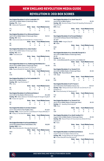## REVOLUTION II: 2021 BOx scores

| New England Revolution II 1 at Fort Lauderdale CF 0<br>April 10,2021 at Gillette Stadium (Foxborough, Mass.)                                                                                                                           |                                                                                                                        |                     |                               |                | Att. N/A       |  |
|----------------------------------------------------------------------------------------------------------------------------------------------------------------------------------------------------------------------------------------|------------------------------------------------------------------------------------------------------------------------|---------------------|-------------------------------|----------------|----------------|--|
| Scoring - FTL - None                                                                                                                                                                                                                   |                                                                                                                        |                     |                               |                |                |  |
| NE - Sierakowski (Fujiwara) 50'                                                                                                                                                                                                        | <b>Shots</b>                                                                                                           | <b>Saves</b>        | <b>Fouls Offsides Corners</b> |                |                |  |
| FTI.                                                                                                                                                                                                                                   | 19                                                                                                                     | 1                   | $\overline{11}$               | 4              |                |  |
|                                                                                                                                                                                                                                        |                                                                                                                        |                     |                               |                | 8              |  |
| <b>NE</b>                                                                                                                                                                                                                              | 5                                                                                                                      | 1                   | 13                            | 1              | 3              |  |
| New England Revolution II 0 vs. Richmond Kickers 3<br>April 17, 2021 at Gillette Stadium (Foxborough, Mass.)<br>Scoring - NE - None                                                                                                    |                                                                                                                        |                     |                               |                | Att. N/A       |  |
| RIC - Bolanos (Gonzalez) 35 <sup>+</sup> , Monticelli 45'+2; Anderson 90'+3                                                                                                                                                            |                                                                                                                        |                     |                               |                |                |  |
|                                                                                                                                                                                                                                        | <b>Shots</b>                                                                                                           | <b>Saves</b>        | <b>Fouls Offsides Corners</b> |                |                |  |
| <b>NE</b>                                                                                                                                                                                                                              | 8                                                                                                                      | $\overline{2}$      | $\overline{11}$               | 1              | 7              |  |
| <b>RIC</b>                                                                                                                                                                                                                             | 9                                                                                                                      | 0                   | 16                            | $\overline{2}$ | 4              |  |
| New England Revolution II 0 vs. Union Omaha 1<br>May 12, 2021 at Gillette Stadium (Foxborough, Mass.)<br>Scoring - NE - None<br>OMA - Hurst (Nuhu) 84'                                                                                 |                                                                                                                        |                     |                               |                | Att. 150       |  |
|                                                                                                                                                                                                                                        | <b>Shots</b>                                                                                                           | <b>Saves</b>        | <b>Fouls Offsides Corners</b> |                |                |  |
| <b>NE</b>                                                                                                                                                                                                                              | 20                                                                                                                     | 4                   | 10                            | $\Omega$       | $\overline{c}$ |  |
| <b>OMA</b>                                                                                                                                                                                                                             | 7                                                                                                                      | 1                   | 14                            | $\overline{2}$ | 7              |  |
| New England Revolution II 2 vs. Chattanooga Red Wolves SC 2<br>May 16, 2021 at Gillette Stadium (Foxborough, Mass.)<br>Scoring - NE - Ramos (Own Goal) 37; N. Buck 54'<br>CHA - Espana (Ricketts) 60'; Espana (Ricketts, Hemandez) 67' | <b>Shots</b>                                                                                                           | <b>Saves</b>        | <b>Fouls OffsidesCorners</b>  |                | Att. 500       |  |
| <b>NE</b>                                                                                                                                                                                                                              | 12 <sup>2</sup>                                                                                                        | $\Omega$            | 16                            | 1              | 5              |  |
|                                                                                                                                                                                                                                        |                                                                                                                        |                     |                               |                |                |  |
| <b>CHA</b>                                                                                                                                                                                                                             | 7                                                                                                                      | $\overline{2}$      | 19                            | 0              | 5              |  |
| New England Revolution II 1 vs. Fort Lauderdale CF 0<br>May 28, 2021 at Gillette Stadium<br>Scoring - NE - Cayet (Rozhansky) 17'<br>FTL - None.                                                                                        |                                                                                                                        |                     |                               |                | Att. 100       |  |
|                                                                                                                                                                                                                                        | <b>Shots</b>                                                                                                           | <b>Saves</b>        | <b>Fouls OffsidesCorners</b>  |                |                |  |
| <b>NF</b>                                                                                                                                                                                                                              | 12 <sup>2</sup>                                                                                                        | 5                   | 11                            | 3              | $\mathsf{R}$   |  |
| FTL                                                                                                                                                                                                                                    | 12                                                                                                                     | 3                   | 16                            | 1              | 10             |  |
| New England Revolution II 2 at Richmond Kickers 3<br>June 5, 2021 at City Stadium (Richmond, Va.)<br>Scoring - RIC - Bolduc (Bolanos) 1; Monticelli (Vinyals) 40; Terzaghi (Vinyals) 51<br>NE - N. Buck 30'; Cayet 76'                 |                                                                                                                        |                     |                               |                | Att. 2,360     |  |
|                                                                                                                                                                                                                                        | <b>Shots</b>                                                                                                           | <b>Saves</b>        | <b>Fouls Offsides Corners</b> |                |                |  |
| <b>RIC</b>                                                                                                                                                                                                                             | 13                                                                                                                     | 3                   | 9                             | 0              | $\overline{2}$ |  |
| <b>NE</b>                                                                                                                                                                                                                              | 15                                                                                                                     | $\overline{a}$      | 8                             | $\mathbf 0$    | $\overline{7}$ |  |
| New England Revolution II 2 at Union Omaha 4<br>June 12. 2021 at Werner Park (Papillion, Neb.)<br>Scoring - OMA - Hurst 21; Hurst 45'+1; Hurst (Boyce) 47'; Boyce (Alihodzic) 77'                                                      |                                                                                                                        |                     |                               |                | Att. 3,677     |  |
| NE - Presley 23'; Tsicoulias (Rennicks) 63'                                                                                                                                                                                            | <b>Shots</b>                                                                                                           | <b>Saves</b>        | <b>Fouls OffsidesCorners</b>  |                |                |  |
| <b>OMA</b>                                                                                                                                                                                                                             | 20                                                                                                                     | $\overline{a}$      | 13                            | $\Omega$       | $\mathsf{R}$   |  |
| <b>NE</b>                                                                                                                                                                                                                              | 13                                                                                                                     | 7                   | 8                             | 1              | $\overline{7}$ |  |
| Scoring - MAD - None                                                                                                                                                                                                                   | New England Revolution II 2 at Forward Madison 0<br>June 19, 2021 at Breese Stevens Field (Madison, Wis.)<br>Att.3,208 |                     |                               |                |                |  |
| NE-N. Buck (Rennicks) 45'+1; Tsicoulias (Rozhansky) 80'                                                                                                                                                                                |                                                                                                                        |                     |                               |                |                |  |
|                                                                                                                                                                                                                                        | <b>Shots</b>                                                                                                           | <b>Saves</b>        | <b>Fouls OffsidesCorners</b>  |                |                |  |
| <b>MAD</b>                                                                                                                                                                                                                             | 20                                                                                                                     | 3<br>$\overline{A}$ | 14                            | 3              | 6              |  |
| <b>NE</b>                                                                                                                                                                                                                              | 10                                                                                                                     |                     | 16                            | $\overline{2}$ | 1              |  |

| New England Revolution II 3 vs. North Texas SC 0<br>June 26, 2021 at Gillette Stadium                                                                                                                                 |                    |                         |                               |                         | Att. 150                |
|-----------------------------------------------------------------------------------------------------------------------------------------------------------------------------------------------------------------------|--------------------|-------------------------|-------------------------------|-------------------------|-------------------------|
| Scoring - NE - Rennicks (Presley, O'Heam) 58'; Spaulding (Rozhansky) 61';                                                                                                                                             |                    |                         |                               |                         |                         |
| Rivera (PK) 65'                                                                                                                                                                                                       |                    |                         |                               |                         |                         |
| NTX - None                                                                                                                                                                                                            |                    |                         |                               |                         |                         |
|                                                                                                                                                                                                                       | <b>Shots</b>       | <b>Saves</b>            | <b>Fouls OffsidesCorners</b>  |                         |                         |
| <b>NE</b>                                                                                                                                                                                                             | 14                 | 0                       | 13                            | $\Omega$                | 6                       |
| <b>NTX</b>                                                                                                                                                                                                            | 5                  | $\overline{2}$          | $\overline{11}$               | $\mathbf{1}$            | $\overline{7}$          |
|                                                                                                                                                                                                                       |                    |                         |                               |                         |                         |
| New England Revolution II 0 at Forward Madison 1                                                                                                                                                                      |                    |                         |                               |                         |                         |
| June 30, 2021 at Breese Stevens Field (Madison, Wis.)                                                                                                                                                                 |                    |                         |                               |                         |                         |
| Att. 3,607                                                                                                                                                                                                            |                    |                         |                               |                         |                         |
| Scoring - MAD - Keegan (Diaz) 20'<br>NE - None                                                                                                                                                                        |                    |                         |                               |                         |                         |
|                                                                                                                                                                                                                       | <b>Shots</b>       | <b>Saves</b>            | <b>Fouls OffsidesCorners</b>  |                         |                         |
| <b>MAD</b>                                                                                                                                                                                                            | 16                 | 3                       | 7                             | 0                       | 5                       |
| <b>NE</b>                                                                                                                                                                                                             | 12                 | $\overline{2}$          | 16                            | 1                       | $\overline{c}$          |
|                                                                                                                                                                                                                       |                    |                         |                               |                         |                         |
| New England Revolution II 0 vs. Greenville Triumph SC 3<br>July 4, 2021 at Gillette Stadium (Foxborough, Mass.)<br>Att. 125                                                                                           |                    |                         |                               |                         |                         |
| Scoring - NE - None                                                                                                                                                                                                   |                    |                         |                               |                         |                         |
| GVL - Lomis (Mohamed) 29'; Lomis 35'; Lomis (Walker) 83'                                                                                                                                                              |                    |                         |                               |                         |                         |
|                                                                                                                                                                                                                       | <b>Shots</b>       | <b>Saves</b>            | <b>Fouls OffsidesCorners</b>  |                         |                         |
| <b>NE</b>                                                                                                                                                                                                             | 12                 | 1                       | 6                             | $\Omega$                | 3<br>3                  |
| <b>GVL</b>                                                                                                                                                                                                            | 11                 | $\overline{2}$          | 13                            | 5                       |                         |
| New England Revolution II 1 vs. Toronto FC II 0<br>July 9, 2021 at Gillette Stadium (Foxborough Mass.)<br>Scoring - NE - Rivera (N.Buck) 46'<br><b>TOR-None</b>                                                       |                    |                         |                               |                         | Att. 100                |
|                                                                                                                                                                                                                       | <b>Shots</b>       | <b>Saves</b>            | <b>Fouls Offsides Corners</b> |                         |                         |
| <b>NE</b>                                                                                                                                                                                                             | 21                 | $\overline{\mathbf{A}}$ | 13                            | $\overline{\mathbf{c}}$ | 4                       |
| <b>TOR</b>                                                                                                                                                                                                            | 12                 | 6                       | 6                             | 1                       | 9                       |
|                                                                                                                                                                                                                       |                    |                         |                               |                         |                         |
| New England Revolution II 2 at FC Tucson 4                                                                                                                                                                            |                    |                         |                               |                         |                         |
| July 17, 2021 at Kino North Stadium (Tucson, Az.)                                                                                                                                                                     |                    |                         |                               |                         | Att. N/A                |
| Scoring - TUC - Bedoya (Dennis) 23'; Adams 26'; Uzo (Dennis) 47'; Uzo                                                                                                                                                 |                    |                         |                               |                         |                         |
| (Rodriguez) 75'                                                                                                                                                                                                       |                    |                         |                               |                         |                         |
| NE - Rivera (Rozhansky) 34; Sierakowski 81                                                                                                                                                                            |                    |                         | <b>Fouls OffsidesCorners</b>  |                         |                         |
| <b>TUC</b>                                                                                                                                                                                                            | <b>Shots</b><br>16 | <b>Saves</b><br>4       | 17                            | 4                       |                         |
| <b>NE</b>                                                                                                                                                                                                             | 17                 | $\overline{2}$          | 22                            | 1                       | 6<br>3                  |
|                                                                                                                                                                                                                       |                    |                         |                               |                         |                         |
| New England Revolution II 1 vs. Toronto FC II 0                                                                                                                                                                       |                    |                         |                               |                         |                         |
| July 23, 2021 at Gillette Stadium (Foxborough, Mass.)<br>Scoring - NE - Spaulding (Rozhansky) 68'<br><b>TOR-None</b>                                                                                                  |                    |                         |                               |                         | Att. 120                |
|                                                                                                                                                                                                                       | <b>Shots</b>       | <b>Saves</b>            | <b>Fouls Offsides Corners</b> |                         |                         |
| <b>NE</b>                                                                                                                                                                                                             | 18                 | $\overline{2}$          | 13                            | 3                       | 5                       |
| <b>TOR</b>                                                                                                                                                                                                            | 5                  | Ŕ                       | 17                            | $\mathbf 0$             | $\overline{\mathbf{4}}$ |
| New England Revolution II 3 vs. North Carolina FC 0<br>August 5, 2021 at Gillette Stadium (Foxborough, Mass.)<br>Scoring - NE - Rivera (O'Hearn) 33; Kizza (Quinones, Michel) 49; Kizza<br>(Fujiwara) 74              |                    |                         |                               |                         | Att. 100                |
| NC-None                                                                                                                                                                                                               |                    |                         |                               |                         |                         |
|                                                                                                                                                                                                                       | <b>Shots</b>       | <b>Saves</b>            | <b>Fouls OffsidesCorners</b>  |                         |                         |
| <b>NE</b>                                                                                                                                                                                                             | 19                 | 3                       | 11                            | 3                       | 7                       |
| <b>NC</b>                                                                                                                                                                                                             | 6                  | $\overline{4}$          | 14                            | $\mathbf 0$             | $\mathbf{1}$            |
| New England Revolution 2 II at Richmond Kickers 2<br>August 14, 2021 at City Stadium (Richmond, Va.)<br>Scoring - RIC - Terzaghi (Bolduc) 26'; Terzaghi (Moran) 53'<br>NE - N. Buck (Silva) 86'; Kizza (Rennicks) 87' |                    |                         |                               |                         | Att. 1,445              |





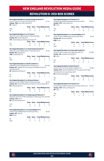## REVOLUTION II: 2021 box scores

| New England Revolution II 1 at South Georgia Tormenta FC 1<br>August 21, 2021 at Erk Russell Park (Statesboro, Ga.) |              |                |                               |                | Att. 1324  |
|---------------------------------------------------------------------------------------------------------------------|--------------|----------------|-------------------------------|----------------|------------|
| Scoring - TRM - Mayr-Fälten (Michael) 72                                                                            |              |                |                               |                |            |
| NE - Kizza 60'                                                                                                      |              |                |                               |                |            |
|                                                                                                                     | <b>Shots</b> | <b>Saves</b>   | <b>Fouls Offsides Corners</b> |                |            |
| <b>TRM</b>                                                                                                          | 21           | 4              | 11                            | 2              | 8          |
| NE                                                                                                                  | 17           | 6              | 9                             | 1              | 4          |
|                                                                                                                     |              |                |                               |                |            |
| New England Revolution II 1 vs. FC Tucson 2                                                                         |              |                |                               |                |            |
| September 1, 2021 at Gillette Stadium (Foxborough, Mass.)                                                           |              |                |                               |                | Att. 100   |
| Scoring - NE - Rivera (Fujiwara) 10'                                                                                |              |                |                               |                |            |
| TUC - Adams (Bedoya) 43; Bedoya (Free Kick) 49'                                                                     |              |                |                               |                |            |
|                                                                                                                     | <b>Shots</b> | <b>Saves</b>   | <b>Fouls Offsides Corners</b> |                |            |
| <b>NE</b>                                                                                                           | 14           | 4              | 14                            | 0              | 4          |
| TUC                                                                                                                 | 23           | 5              | 10                            | $\mathbf 0$    | 4          |
| New England Revolution II 1 vs. South Georgia Tormenta FC 1                                                         |              |                |                               |                |            |
| September 5, 2021 at Gillette Stadium (Foxborough, Mass.)                                                           |              |                |                               |                | Att. 125   |
|                                                                                                                     |              |                |                               |                |            |
| Scoring - NE - Spaulding 23'                                                                                        |              |                |                               |                |            |
| TRM - Liadi (Strickler) 33                                                                                          |              |                |                               |                |            |
|                                                                                                                     | <b>Shots</b> | <b>Saves</b>   | <b>Fouls Offsides Corners</b> |                |            |
| <b>NE</b>                                                                                                           | 13           | 3              | 10                            | 0              | 5          |
| <b>TRM</b>                                                                                                          | 7            | 2              | 12                            | $\mathfrak{p}$ | 3          |
| New England Revolution II 1 at North Carolina FC 4                                                                  |              |                |                               |                |            |
| September 11, 2021 at WakeMed Soccer Park (Cary, N.C.)                                                              |              |                |                               |                | Att. 2,249 |
| Scoring - NC - Albadawi 16'; Coan (Jackson) 26'; Albadawi (Coan) 54';                                               |              |                |                               |                |            |
| Kamara (Coan) 64                                                                                                    |              |                |                               |                |            |
| NE - Bajraktarevic (Presley) 12'                                                                                    |              |                |                               |                |            |
|                                                                                                                     | <b>Shots</b> | <b>Saves</b>   | <b>Fouls Offsides Corners</b> |                |            |
| N <sub>C</sub>                                                                                                      | 12           | 5              | 17                            | 4              | 1          |
| <b>NE</b>                                                                                                           | 18           | 2              | 8                             | 1              | 7          |
|                                                                                                                     |              |                |                               |                |            |
| New England Revolution II 3 vs. Richmond Kickers 1                                                                  |              |                |                               |                |            |
| September 17, 2021 at Gillette Stadium (Foxborough, Mass.)                                                          |              |                |                               |                | Att. 125   |
| Scoring - NE - Rennicks (Rozhansky) 33; Rivera 47; N. Buck (Rivera) 90'+2                                           |              |                |                               |                |            |
| RIC - Bolanos (Moran) 3'                                                                                            |              |                |                               |                |            |
|                                                                                                                     | <b>Shots</b> | <b>Saves</b>   | <b>Fouls Offsides Corners</b> |                |            |
| ΝE                                                                                                                  | 26           | 3              | 14                            | 2              | 5          |
| <b>RIC</b>                                                                                                          | 9            | 4              | 21                            | $\overline{4}$ | 4          |
| New England Revolution II 1 at Chattanooga Red Wolves SC 0                                                          |              |                |                               |                |            |
| September 25, 2021 at CHI Memorial Stadium (Chattanooga, Tenn.) Att. 2,005                                          |              |                |                               |                |            |
| Scoring - CHA - None                                                                                                |              |                |                               |                |            |
| NE - Rennicks (Presley) 90'+5                                                                                       |              |                |                               |                |            |
|                                                                                                                     | <b>Shots</b> | <b>Saves</b>   | <b>Fouls Offsides Corners</b> |                |            |
| CHA                                                                                                                 | 12           | 3              | 15                            | 3              | 13         |
| <b>NE</b>                                                                                                           | 10           | 5              | 19                            | 1              | 3          |
|                                                                                                                     |              |                |                               |                |            |
| New England Revolution II 1 vs. Forward Madison FC 0                                                                |              |                |                               |                |            |
| October 1, 2021 at Gillette Stadium (Foxborough, Mass.)                                                             |              |                |                               |                | Att. 120   |
| Scoring - NE - Kizza 58'                                                                                            |              |                |                               |                |            |
| <b>MAD - None</b>                                                                                                   |              |                |                               |                |            |
|                                                                                                                     | <b>Shots</b> | <b>Saves</b>   | <b>Fouls Offsides Corners</b> |                |            |
| NE                                                                                                                  | 10           | 4              | 16                            | 0              | 8          |
| <b>MAD</b>                                                                                                          | 14           | $\overline{c}$ | 13                            | $\overline{c}$ | 5          |

#### **New England Revolution II 0 at Toronto FC II 1**

| October 8, 2021 at BMO Training Ground (Toronto, Ontario) | Att. N/A |
|-----------------------------------------------------------|----------|
| <b>Scoring - TOR - Politz (Petrasso) 24'</b>              |          |
| NE-None                                                   |          |

|     |  | Shots Saves Fouls Offsides Corners |  |     |  |
|-----|--|------------------------------------|--|-----|--|
| TOR |  |                                    |  | - 5 |  |
| NF  |  |                                    |  |     |  |

#### **New England Revolution II 1 vs. Forward Madison FC 0**

October 12, 2021 at Gillette Stadium (Foxborough, Mass.) Att. 150 **Scoring - NE -** Rennicks (Maciel) 9' **MAD -** None

| .   |                         |                                    |             |  |
|-----|-------------------------|------------------------------------|-------------|--|
|     |                         | Shots Saves Fouls Offsides Corners |             |  |
| NF  | $\overline{\mathbf{3}}$ |                                    | 18 1 4      |  |
| MAD |                         | 16                                 | $1 \quad 4$ |  |

#### **New England Revolution II 0 at Greenville Triumph SC 1**

October 16, 2021 at Legacy Early College (Greenville, S.C.) Att. 3,056 **Scoring - GVL -** Gavilanes (Unassisted) 57'

#### **NE -** None

|     |    |          | Shots Saves Fouls Offsides Corners |             |  |  |
|-----|----|----------|------------------------------------|-------------|--|--|
| GVI | 20 | $\sim$ 1 | - 10                               | $1 \quad 7$ |  |  |
| NF  |    | Q        | 12 <sup>°</sup>                    | $\cap$      |  |  |

#### **New England Revolution II at North Texas SC**

October 23, 2021 at Choctaw Stadium (Arlington, Tex.) Att. 880 **Scoring - NTX -** Munjoma (ElMedkhar) 10<sup>"</sup>; Kamungo (Ferri) 57<sup>"</sup>; Rayo (Hernandez) 83'; Kamungo (Munjoma) 89' **NE -** Rennicks (Spaulding) 4'

|            |         | Shots Saves Fouls Offsides Corners |              |                |
|------------|---------|------------------------------------|--------------|----------------|
| <b>NTX</b> | $16 \,$ | - 12                               | $\mathbf{R}$ | - 5            |
| NF         | 24      | $10^{-1}$                          | $\mathbf{A}$ | $\overline{a}$ |

#### **New England Revolution II 0 at Toronto FC II 1**

October 29, 2021 at BMO Training Ground (Toronto, Ontario, Can.) Att. N/A **Scoring - TOR -** Rothrock (Petrasso) 62'

**NE -** None

|     |     | Shots Saves Fouls Offsides Corners |                  |  |  |
|-----|-----|------------------------------------|------------------|--|--|
| TOR |     | 10 1 10 1 4                        |                  |  |  |
| NF  | 7 3 | - 12                               | $\overline{1}$ 8 |  |  |

(R

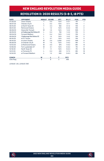## REVOLUTION II: 2020 rESULTS (5-8-3, 18 pts)

| <b>DATE</b>       | <b>OPPONENT</b>              | <b>RESULT</b> | <b>SCORE</b> | ATT.  | W-L-T       | POS. | <b>PTS</b>     |
|-------------------|------------------------------|---------------|--------------|-------|-------------|------|----------------|
| 07/25/20          | Union Omaha                  | т             | $0 - 0$      | N/A   | $0 - 0 - 1$ | 7th  |                |
| 08/07/20          | Orlando City B               |               | $0 - 2$      | N/A   | $0 - 1 - 1$ | 11th |                |
| 08/15/20          | at North Texas SC            | т             | $3 - 3$      | 952   | $0 - 1 - 2$ | 11th | $\overline{2}$ |
| 08/21/20          | <b>Richmond Kickers</b>      |               | $1 - 2$      | N/A   | $0 - 2 - 2$ | 11th | 2              |
| 08/26/20          | Greenville Triumph           | W             | $1 - 0$      | N/A   | $1 - 2 - 2$ | 10th | 5              |
| 08/29/20          | at Chattanooga Red Wolves SC | L             | $0 - 4$      | 750   | $1 - 3 - 2$ | 11th | 5              |
| 09/04/20          | <b>Forward Madison</b>       |               | $0 - 4$      | N/A   | $1 - 4 - 2$ | 11th | 5              |
| 09/09/20          | Chattanooga Red Wolves SC    |               | $1 - 2$      | N/A   | $1 - 5 - 2$ | 11th | 5              |
| 09/16/20          | at FC Tucson                 |               | $0 - 1$      | N/A   | $1 - 6 - 2$ | 11th | 5              |
| 09/19/20          | at Union Omaha               | W             | $2 - 0$      | 2,500 | $2 - 6 - 2$ | 10th | 8              |
| 09/26/20          | at Orlando City B            | W             | $1 - 0$      | N/A   | $3 - 6 - 2$ | 9th  | 11             |
| 10/03/20          | at Richmond Kickers          | W             | $4 - 0$      | 875   | $4 - 6 - 2$ | 8th  | 14             |
| 10/09/20          | Fort Lauderdale CF           | W             | $4 - 1$      | N/A   | $5 - 6 - 2$ | 7th  | 17             |
| 10/16/20          | North Texas SC               | т             | $1 - 1$      | N/A   | $5 - 6 - 3$ | 7th  | 18             |
| 10/21/20          | at Tormenta FC               |               | $0 - 4$      | 400   | $5 - 7 - 3$ | 8th  | 18             |
| 10/24/20          | at Forward Madison           |               | $1 - 2$      | 500   | $5 - 8 - 3$ | 9th  | 18             |
| <b>COACH</b>      |                              | W             | L            | т     | PCT.        |      |                |
| <b>Clint Peav</b> |                              | 5             | 8            | 3     | .406        |      |                |

*LEAGUE: USL LEAGUE ONE*



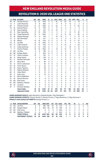NEW ENGLAND REVOLUTION MEDIA GUIDE

## REVOLUTION II: 2020 USL LEAGUE ONE STATISTICS

| #                |    | <b>POS PLAYER</b>         | GP             | GS             | <b>MIN</b> | G              | А              |                | SHT SOG          | <b>FC</b>        | <b>FS</b>      | <b>OFF</b>     | <b>TKL</b> | c            | Е           |
|------------------|----|---------------------------|----------------|----------------|------------|----------------|----------------|----------------|------------------|------------------|----------------|----------------|------------|--------------|-------------|
| 29               | M  | Nicolas Firmino           | 16             | 15             | 1361       | 4              | $\overline{2}$ | 36             | 13               | 20               | 34             | 3              | 18         | $\mathbf{1}$ | $\Omega$    |
| 12               | F  | <b>Justin Rennicks</b>    | 8              | 8              | 656        | 4              | 1              | 17             | 6                | 9                | 14             | $\overline{2}$ | 3          | $\Omega$     | 0           |
| 99               | F  | Orlando Sinclair          | 14             | 13             | 1026       | $\overline{2}$ | $\overline{2}$ | 24             | 7                | 17               | 8              | 11             | 20         | 3            | 0           |
| 72               | M  | Damian Rivera             | 14             | 9              | 795        | $\overline{2}$ | 1              | 17             | 6                | $\overline{2}$   | 9              | 1              | 9          | 0            | $\mathbf 0$ |
| 5                | M  | <b>Isaac Angking</b>      | 8              | 5              | 447        | $\overline{2}$ | $\Omega$       | 10             | 5                | 1                | 11             | $\overline{2}$ | 4          | 0            | $\Omega$    |
| 34               | D  | <b>Ryan Spaulding</b>     | 15             | 13             | 1159       | 1              | $\overline{2}$ | 9              | $\overline{2}$   | 11               | 12             | $\mathbf 0$    | 24         | 1            | 0           |
| 33               | M  | Tiago Mendonça            | 16             | 11             | 1000       | 1              | $\overline{a}$ | 17             | 6                | 14               | 22             | 1              | 36         | 3            | $\Omega$    |
| 10 <sup>10</sup> | M  | Mayele Malango            | 14             | 6              | 575        | 1              | 1              | 16             | 10 <sup>10</sup> | 5                | $\overline{7}$ | 5              | 10         | 0            | $\mathbf 0$ |
| 31               | D  | Ryo Shimazaki             | 7              | 4              | 377        | 1              | $\Omega$       | 8              | 3                | 6                | 3              | $\Omega$       | 6          | 1            | 1           |
| 6                | M  | Maciel                    | 16             | 16             | 1414       | $\Omega$       | $\Omega$       | 9              | $\Omega$         | 17               | 8              | $\Omega$       | 27         | 3            | 0           |
| 70               | D  | Jon Bell                  | 15             | 15             | 1350       | 0              | 0              | 3              | 1                | 11               | 4              | 1              | 15         | 3            | 0           |
| 35               | D  | Collin Verfurth           | 15             | 15             | 1312       | O              | $\Omega$       | 3              | $\Omega$         | 10 <sup>10</sup> | 6              | 1              | 22         | 1            | 0           |
| 41               | D  | Colby Quiñones            | 14             | 13             | 1149       | O              | 1              | $\overline{a}$ | $\overline{2}$   | 11               | 16             | $\Omega$       | 12         | 3            | $\Omega$    |
| $\overline{7}$   | F  | <b>Connor Presley</b>     | 16             | 12             | 1032       | O              | 1              | 14             | 4                | 13               | 11             | 5              | 14         | 1            | $\Omega$    |
| 51               | GK | Joe Rice                  | 9              | 9              | 786        | 0              | $\Omega$       | 0              | 0                | $\Omega$         | 5              | $\Omega$       | 0          | $\Omega$     | 0           |
| 50               | GK | Keegan Meyer              | 8              | $\overline{7}$ | 654        | $\Omega$       | $\Omega$       | $\Omega$       | $\Omega$         | $\Omega$         | $\Omega$       | $\Omega$       | 0          | 0            | 0           |
| 53               | M  | Hikaru Fujiwara           | 10             | 1              | 251        | $\Omega$       | 1              | 4              | $\overline{2}$   | 6                | 5              | 1              | 9          | $\mathbf 0$  | 0           |
| 56               | D  | Diego Souza               | 4              | $\overline{2}$ | 158        | O              | $\Omega$       | 1              | 1                | $\overline{a}$   | $\overline{2}$ | $\Omega$       | 5          | 1            | 0           |
| 52               | F  | <b>Michael Tsicoulias</b> | $\overline{2}$ | $\mathbf{1}$   | 69         | $\Omega$       | $\Omega$       | 1              | $\Omega$         | $\Omega$         | $\overline{2}$ | $\Omega$       | 1          | $\Omega$     | $\Omega$    |
| 36               | F  | Meny Silva                | 6              | $\Omega$       | 69         | $\Omega$       | $\Omega$       | 1              | $\Omega$         | 3                | $\overline{2}$ | $\Omega$       | 1          | 0            | 0           |
| 32               | D  | Simon Lekressner          | 1              | 1              | 45         | $\Omega$       | $\Omega$       | 0              | $\Omega$         | $\Omega$         | 1              | $\Omega$       | 0          | 0            | $\Omega$    |
| 48               | M  | <b>Trevor Burns</b>       | $\overline{2}$ | $\Omega$       | 32         | $\Omega$       | $\Omega$       | 0              | $\Omega$         | 1                | 1              | $\Omega$       | 1          | 1            | $\mathbf 0$ |
| 63               | M  | Kaoru Fujiwara            | 3              | $\Omega$       | 28         | $\Omega$       | $\Omega$       | 1              | O                | 1                | $\Omega$       | $\Omega$       | 0          | 0            | $\mathbf 0$ |
| 54               | D  | Nathan Metsack            | 1              | $\Omega$       | 18         | $\Omega$       | $\Omega$       | 0              | O                | 1                | $\Omega$       | $\mathbf 0$    | 0          | $\mathbf 0$  | 0           |
| 60               | D  | Oskar Bloch               | 1              | 0              | 12         | $\Omega$       | 0              | 0              | $\Omega$         | $\Omega$         | 1              | $\mathbf 0$    | 1          | $\mathbf 0$  | 0           |
| 59               | F  | <b>Isaie Louis</b>        | 3              | $\Omega$       | 10         | $\Omega$       | $\Omega$       | 0              | $\Omega$         | 1                | 1              | $\Omega$       | 0          | $\Omega$     | $\Omega$    |
| 45               | D  | <b>Morris Matthews</b>    | 1              | $\Omega$       | 1          | 0              | $\Omega$       | 0              | $\Omega$         | $\Omega$         | $\Omega$       | $\Omega$       | $\Omega$   | $\Omega$     | $\Omega$    |
| 37               | M  | <b>Dennis Ramirez</b>     | n              | $\Omega$       | $\Omega$   | $\Omega$       | $\Omega$       | 0              | $\Omega$         | $\Omega$         | $\Omega$       | $\Omega$       | 0          | 0            | 0           |
| 44               | GK | <b>Eliot Jones</b>        | O              | $\Omega$       | 0          | $\Omega$       | $\mathbf 0$    | $\Omega$       | $\Omega$         | $\Omega$         | $\Omega$       | $\Omega$       | 0          | $\Omega$     | 0           |
| 62               | GK | <b>Matthew Tibbetts</b>   | 0              | $\Omega$       | 0          | $\Omega$       | $\Omega$       | 0              | $\Omega$         | $\Omega$         | $\Omega$       | $\Omega$       | $\Omega$   | $\Omega$     | $\mathbf 0$ |
| 49               | M  | Joe Buck                  | O              | $\Omega$       | 0          | O              | $\Omega$       | $\Omega$       | $\Omega$         | $\Omega$         | $\Omega$       | $\mathbf 0$    | 0          | $\Omega$     | $\mathbf 0$ |
| 57               | F  | <b>Ronilson Mendes</b>    | O              | $\Omega$       | 0          | 0              | $\Omega$       | 0              | $\Omega$         | $\Omega$         | $\Omega$       | $\Omega$       | 0          | $\Omega$     | $\Omega$    |
|                  |    | <b>Team totals</b>        | 16             | 16             | 1440       | 19             | 13             | 192            | 65               | 171              | 194            | 33             | 242        | 20           | 1           |
|                  |    | <b>Opponent totals</b>    | 16             | 16             | 1440       | 26             | 20             | 240            | 87               | 194              | 171            | 43             | 285        | 23           | 1           |

**GAME-WINNING GOALS:** Justin Rennicks 3, Orlando Sinclair 1, Ryo Shimazaki 1.

**GAME-WINNING ASSISTS:** Orlando Sinclair 2, Nicolas Firmino 1, Tiago Mendonca 1, Colby Quinones 1. **PENALTY KICK GOALS/ATTEMPTS:** Nicolas Firmino 1-1.

|    |    | # POS GOALKEEPER       | GP.          | GS       | MIN SHT  |          |          |          | SV GA GAA PG PA |              |                | <b>W</b> | <b>Contract</b> | T SO |          |
|----|----|------------------------|--------------|----------|----------|----------|----------|----------|-----------------|--------------|----------------|----------|-----------------|------|----------|
| 51 |    | GK Joe Rice            | 9            | -9       | 786      | 146      |          |          | 45 12 1.37      | $\Omega$     | $\Omega$       | 3        | $\overline{A}$  |      | -3       |
|    |    | 50 GK Keegan Meyer     | 8            |          | 654      | 94       | 21       | 14       | 1.93            | $\Omega$     | $\Omega$       |          | $\overline{A}$  |      |          |
| 44 | GK | Eliot Jones            | <sup>n</sup> | $\Omega$ |          | $\Omega$ | $\Omega$ | $\Omega$ | 0.00            | $\Omega$     | $\Omega$       | $\Omega$ | $\Omega$        |      | $\Omega$ |
| 62 | GK | Matthew Tibbetts       | <sup>n</sup> | $\Omega$ |          | $\Omega$ | $\Omega$ |          | $0\quad 0.00$   | $\Omega$     | $\Omega$       | $\Omega$ | $\Omega$        |      | $\Omega$ |
|    |    | <b>TEAM TOTALS</b>     | 16           | 16       | 1440 240 |          |          |          | 66 26 1.63      | $\mathbf{0}$ | $\mathbf{0}$   | 5.       | -8              | 3    | 5.       |
|    |    | <b>OPPONENT TOTALS</b> | 16           | 16       | 1440 192 |          | - 47     |          | 19 1.19         |              | $\blacksquare$ | 8        | 5.              | -3   | 6        |



(R)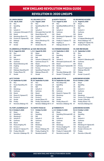## REVOLUTION II: 2020 LINEUPS

|           |                              |           |                          |           | <del>.</del>                  |           |                    |  |
|-----------|------------------------------|-----------|--------------------------|-----------|-------------------------------|-----------|--------------------|--|
|           | T, 0-0 July 25, 2020         |           | L, 0-2 August 7, 2020    |           | T, 3-3 August 15, 2020        | $L.1-2$   | August 21          |  |
| GK        | Rice                         | GK        | <b>Rice</b>              | GК        | Rice                          | GK        | Mever              |  |
| LB        | Spaulding                    | LB        | Spaulding (Bloch 78')    | LB.       | Spaulding (Matthews 90'+5) LB |           | Spaulding          |  |
| <b>CB</b> | Bell                         | CВ        | Bell                     | СB        | Bell                          | CB        | Bell               |  |
| <b>CB</b> | Verfurth ©                   | <b>CB</b> | Verfurth ©               | CB        | Verfurth ©                    | СB        | Verfurth ©         |  |
| <b>RB</b> | Lekressner (Shimazaki HT) RB |           | Shimazaki (Red Card 38') | <b>RB</b> | Quiñones                      | <b>RB</b> | Quiñones           |  |
| <b>DM</b> | Maciel                       | <b>DM</b> | Maciel (Burns 78')       | <b>DM</b> | Maciel                        | <b>DM</b> | Maciel             |  |
| <b>CM</b> | Mendonça (Burns 70')         | <b>CM</b> | Angking (Presley 60')    | <b>CM</b> | Mendonça (H. Fujiwara 60') CM |           | Firmino            |  |
| <b>CM</b> | Firmino (K. Fujiwara 90')    | <b>CM</b> | Firmino                  | <b>CM</b> | Firmino 1                     | <b>CM</b> | H. Fujiwara        |  |
| LW        | Malango                      | LW        | Rivera (Mendonça 70')    | LW        | Presley (K. Fujiwara 77')     | LW        | Rivera (Ma         |  |
| <b>RW</b> | Preslev                      | <b>RW</b> | Malango                  | <b>RW</b> | Angking 1, 2                  | <b>RW</b> | Angking ( <b>h</b> |  |
|           |                              |           |                          |           |                               |           |                    |  |

ST Sinclair ST Sinclair (Silva 78') ST Malango (Sinclair 77') ST Sinclair (Presley 76')

### **VS. GREENVILLE TRIUMPH SC @ CHAT. RED WOLVES VS. FORWARD MADISON VS. CHAT. RED WOLVES**

|           | L, U-I JEDIENIDENO, ZUZU |
|-----------|--------------------------|
| GK        | <b>Rice</b>              |
| LB        | Souza (Spaulding 45')    |
| CB        | Bell                     |
| CB        | Mendonça                 |
| <b>RB</b> | <b>Quiñones</b>          |
| <b>DM</b> | Maciel                   |
| СM        | Rivera (H. Fujiwara 67') |
| <b>CM</b> | Firmino ©                |
| LW        | Sinclair                 |
| <b>RW</b> | Presley                  |
| ST        | Rennicks (Malango 70')   |

**W, 4-1 October 9, 2020 T, 1-1 October 16, 2020 L, 0-4 October 21, 2020 W, 4-0 October 3, 2020** CB Mendonça 1 CB Bell CB Bell CB Bell CB Verfurth © CB Verfurth © CB Verfurth © CB Verfurth © RB Quiñones RB Quiñones RB Quiñones RB Quiñones DM Maciel DM Maciel DM Maciel DM Maciel CM Firmino 4 CM Firmino CM Firmino (Angking 57') CM Rivera (Souza 85') LW Sinclair (H. Fujiwara HT) LW Rivera 2 (Malango 76') LW Rivera (Silva 68') LW Sinclair 2 (Firmino 37')

| <b>CHAT, RED WOLVES</b> |                          |           |  |  |
|-------------------------|--------------------------|-----------|--|--|
|                         | , 0-4 August 29, 2020    | L,        |  |  |
| iΚ                      | Mever                    | Gł        |  |  |
| B                       | Shimazaki                | LE        |  |  |
| :B                      | Bell                     | <b>CE</b> |  |  |
| :B                      | Verfurth © (Metsack 72') | CF        |  |  |
| B                       | Quiñones (Souza 71')     | RE        |  |  |
| ١M                      | Maciel                   | Dľ        |  |  |
| ۱M                      | Angking (Mendonça 71')   | Сľ        |  |  |
| :M                      | Firmino                  | Сľ        |  |  |
| W                       | Spaulding (Presley 65')  | A١        |  |  |
| W                       | Malango (Rivera 45')     | <b>ST</b> |  |  |
| т                       | Sinclair                 | <b>ST</b> |  |  |

- 
- RW Presley (Angking 75') RW Presley (H. Fujiwara 68') RW Presley
	-

- 
- GK Meyer GK Meyer GK Meyer GK Meyer LB Spaulding 1 LB Spaulding LB Spaulding Chimazaki 68') LB Spaulding
	-
	-
	-
	-
- ST Rennicks 3 (Malango 78') ST Rennicks (Louis 87') ST Rennicks (Louis 86') ST Rennicks 4 (Silva 86')

### **VS. UNION OMAHA VS. ORLANDO CITY B @ NORTH TEXAS SC VS. RICHMOND KICKERS**

- **T, 0-0 July 25, 2020 L, 0-2 August 7, 2020 T, 3-3 August 15, 2020 L, 1-2 August 21, 2020** LB Spaulding LB Spaulding (Bloch 78') LB Spaulding (Matthews 90'+5) LB Spaulding Shimazaki (Red Card 38') RB Quiñones RB Quiñones DM Maciel DM Maciel (Burns 78') DM Maciel DM Maciel Angking (Presley 60') CM Mendonça (H. Fujiwara 60') CM Firmino Firmino CM Firmino 1 CM H. Fujiwara (Mendonça 61') Rivera (Mendonça 70') LW Presley (K. Fujiwara 77') LW Rivera (Malango 1 61')<br>Malango K. Fujiwara RW Angking 1, 2 RW Angking (K. Fujiwara Malango RW Angking 1, 2 RW Angking (K. Fujiwara 76')
	-
- **W, 1-0 August 26, 2020 L, 0-4 August 29, 2020 L, 0-4 September 4, 2020 L, 1-2 September 9, 2020** GK Rice GK Meyer GK Rice GK Rice LB Shimazaki 1 LB Shimazaki LB Spaulding LB Souza CB Bell CB Bell CB Bell CB Bell CB Verfurth © CB Verfurth © (Metsack 72') CB Verfurth © CB Verfurth © (Mendonça 69') RB Quiñones RB Quiñones (Souza 71') RB Shimazaki (Quiñones 87') RB Quiñones DM Maciel (Mendonça 90') DM Maciel DM Maciel DM Maciel CM Angking CM Angking (Mendonça 71') CM Mendonça (H. Fujiwara 69') CM Firmino CM Firmino CM Firmino CM Firmino CM Rivera (H. Fujiwara 67') LW Malango (Spaulding 84') LW Spaulding (Presley 65') AM Rivera LW Malango (Silva 69') RW Presley (Rivera 78') RW Malango (Rivera 45') ST Tsicoulias (Malango 68') RW Presley
	- Sinclair 77' (Presley 87') ST

**@ FC TUCSON @ UNION OMAHA @ ORLANDO CITY B @ RICHMOND KICKERS L, 0-1 September 16, 2020 W, 2-0 September 19, 2020 W, 1-0 September 26, 2020 W, 4-0 October 3, 2020** GK Rice GK Rice GK Rice (Meyer 66') GK Meyer LB Souza (Spaulding 45') LB Spaulding LB Spaulding LB Spaulding CB Bell CB Bell CB Bell CB Bell CB Verfurth © CB Verfurth © CB Verfurth © RB Quiñones RB Quiñones RB Quiñones RB Quiñones<br>
DM Maciel DM Maciel (H. Fuiiwara 78') DM Maciel DM Maciel (H. Fujiwara 78') DM Maciel CM Mendonça CM Mendonça CM CM Mendonça CM Firmino © CM Firmino 2 CM Firmino CM Firmino 3 (H. Fujiwara 82') Sinclair 2 (Silva 84') RW Presley (Tsicoulias 90') RW Presley (Rivera 57') RW Presley (Rivera 170') (Malango 70') ST Rennicks 1 (Malango 90'+7) ST Rennicks 2 (Malango 78') ST Rennicks (Malango 82')

## **VS. FORT LAUDERDALE CF VS. NORTH TEXAS SC @ TORMENTA FC @ RICHMOND KICKERS**

CM Mendonça (H. Fujiwara 83')



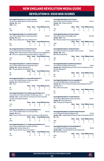## REVOLUTION II: 2020 box scores

| New England Revolution II 0 vs. Union Omaha 0<br>July 25, 2020 at Gillette Stadium (Foxborough, Mass.)<br>Scoring - NE - None                                                                                                                      |                    |                   |                               |                | Att. N/A                   |
|----------------------------------------------------------------------------------------------------------------------------------------------------------------------------------------------------------------------------------------------------|--------------------|-------------------|-------------------------------|----------------|----------------------------|
| <b>OMA</b> - None                                                                                                                                                                                                                                  |                    |                   |                               |                |                            |
|                                                                                                                                                                                                                                                    | <b>Shots</b><br>11 | <b>Saves</b><br>4 | <b>Fouls OffsidesCorners</b>  |                |                            |
| <b>NE</b>                                                                                                                                                                                                                                          |                    | 1                 | 14                            | 3              | 6<br>7                     |
| <b>OMA</b>                                                                                                                                                                                                                                         | 11                 |                   | 10                            | $\overline{c}$ |                            |
| New England Revolution II 0 vs. Orlando City B 2<br>Aug. 7, 2020 at Gillette Stadium (Foxborough, Mass.)<br>Scoring - NE - None                                                                                                                    |                    |                   |                               |                | Att. N/A                   |
| ORL - Rivera (Tablante) 66'; Tanaka (Tablante) 90'+1                                                                                                                                                                                               |                    |                   |                               |                |                            |
|                                                                                                                                                                                                                                                    | <b>Shots</b>       | <b>Saves</b>      | <b>Fouls OffsidesCorners</b>  |                |                            |
| <b>NE</b>                                                                                                                                                                                                                                          | 15                 | 3                 | 11                            | 3              | 7                          |
| ORL                                                                                                                                                                                                                                                | 12                 | 3                 | 18                            | 6              | 3                          |
| New England Revolution II 3 at North Texas SC 3<br>Aug. 15, 2020 at Globe Life Park (Arlington, Texas)<br>Scoring - NTX - Roberts (Alvarez) 4; Damus (Alvarez) 27; Bruce (Batista) 90'+2                                                           |                    |                   |                               |                | Att. 952                   |
| NE - Firmino 16'; Angking (Mendonça) 58'; Angking (H. Fujiwara) 79'                                                                                                                                                                                |                    |                   |                               |                |                            |
|                                                                                                                                                                                                                                                    | <b>Shots</b>       | <b>Saves</b>      | <b>Fouls OffsidesCorners</b>  |                |                            |
| <b>NTX</b>                                                                                                                                                                                                                                         | 26                 | $\overline{a}$    | 13                            | $\overline{c}$ | 8                          |
| <b>NE</b>                                                                                                                                                                                                                                          | R                  | 6                 | 9                             | 1              | q                          |
| New England Revolution II 1 vs. Richmond Kickers 2<br>Aug. 21, 2020 at Gillette Stadium (Foxborough, Mass.)<br>Scoring - NE - Malango (Spaulding) 71'<br>RIC - Terzaghi (Bolduc) 53'; Kraft (Antley) 82'                                           |                    |                   |                               |                | Att. N/A                   |
|                                                                                                                                                                                                                                                    | <b>Shots</b>       | <b>Saves</b>      | <b>Fouls OffsidesCorners</b>  |                |                            |
| NE                                                                                                                                                                                                                                                 | 11                 | 3                 | 13                            | 1              | 3                          |
| <b>RIC</b>                                                                                                                                                                                                                                         | 18                 | 3                 | 8                             | 3              | 5                          |
| New England Revolution II 1 vs. Greenville Triumph SC 0                                                                                                                                                                                            |                    |                   |                               |                |                            |
| Aug. 26, 2020 at Gillette Stadium (Foxborough, Mass.)<br>Scoring - NE - Shimazaki (Firmino) 57'<br><b>GVL</b> - None                                                                                                                               |                    |                   |                               |                | Att. N/A                   |
|                                                                                                                                                                                                                                                    | <b>Shots</b>       | <b>Saves</b>      | <b>Fouls Offsides Corners</b> |                |                            |
| <b>NE</b>                                                                                                                                                                                                                                          | 13                 | 6                 | 10                            | 6              | 1                          |
| <b>GVL</b>                                                                                                                                                                                                                                         | 19                 | $\overline{a}$    | 9                             | 1              | $\overline{a}$             |
| New England Revolution II 0 at Chattanooga Red Wolves SC 4<br>Aug. 29, 2020 at CHI Memorial Stadium (Chattanooga, Tenn.)<br>Scoring - CHA - Zacarias (Ruiz) 12'; Hemandez (Hurst) 29'; Hemandez<br>(Zacarias) 38'; Beattie (Pineda) 88'<br>NE-None |                    |                   |                               |                | Att. 750                   |
|                                                                                                                                                                                                                                                    | <b>Shots</b>       | <b>Saves</b>      | <b>Fouls Offsides Corners</b> |                |                            |
| CHA                                                                                                                                                                                                                                                | 18                 | 0                 | 16                            | 4              | 6                          |
| <b>NE</b><br>New England Revolution II 0 vs. Forward Madison FC 4<br>Sept. 4, 2020 at Gillette Stadium (Foxborough, Mass.)<br>Scoring - NE - None<br>MAD - Vang 39'; Verfurth (Own Goal) 61'; Ovalle (Paulo Jr.) 88'; Wojcik 90'                   | 7                  | 3                 | $\mathsf{R}$                  | 1              | $\overline{c}$<br>Att. N/A |
|                                                                                                                                                                                                                                                    | <b>Shots</b>       | <b>Saves</b>      | <b>Fouls OffsidesCorners</b>  |                |                            |
| <b>NE</b>                                                                                                                                                                                                                                          | 10                 | 6                 | 6                             | 2              | 6                          |
| <b>MAD</b>                                                                                                                                                                                                                                         | 19                 | 3                 | 14                            | 1              | 6                          |
| New England Revolution II 1 vs. Chattanooga Red Wolves SC 2<br>Sept. 9, 2020 at Gillette Stadium (Foxborough, Mass.)<br>Scoring - NE - Sinclair (Presley) 45'+1<br>CHA - Ramos (Soto) 10'; Souza (Own Goal) 84'                                    | <b>Shots</b>       | <b>Saves</b>      | <b>Fouls OffsidesCorners</b>  |                | Att. N/A                   |
| <b>NE</b>                                                                                                                                                                                                                                          | q                  | 8                 | 14                            | 0              | $\overline{c}$             |

| New England Revolution II 0 at FC Tucson 1<br>Sept. 16, 2020 at Kino North Stadium (Tucson, Az.)<br>Scoring - TUC - Elivelton (Dennis) 8'                                                                                         |                    |                               |                |                               | Att. N/A            |
|-----------------------------------------------------------------------------------------------------------------------------------------------------------------------------------------------------------------------------------|--------------------|-------------------------------|----------------|-------------------------------|---------------------|
| NE-None                                                                                                                                                                                                                           |                    |                               |                |                               |                     |
|                                                                                                                                                                                                                                   | <b>Shots</b>       | <b>Saves</b>                  |                | <b>Fouls OffsidesCorners</b>  |                     |
| <b>TUC</b>                                                                                                                                                                                                                        | 17                 | 3                             | 11             | $\overline{a}$                | 5                   |
| NE                                                                                                                                                                                                                                | 14                 | 5                             | 9              | 3                             | 8                   |
| New England Revolution II 2 at Union Omaha 0<br>Sept. 19, 2020 at Werner Park (Papillion, Neb.)<br>Scoring - OMA - None<br>NE - Rennicks (Sinclair) 11; Firmino (Spaulding) 90'+8                                                 |                    |                               |                |                               | Att. 2,500          |
|                                                                                                                                                                                                                                   | <b>Shots</b>       | <b>Saves</b>                  |                | <b>Fouls Offsides Corners</b> |                     |
| <b>OMA</b>                                                                                                                                                                                                                        | 19                 | 4                             | 15             | 2                             | $\overline{7}$      |
| <b>NE</b>                                                                                                                                                                                                                         | q                  | $\overline{a}$                | 12             | $\overline{7}$                | $\overline{0}$      |
| New England Revolution II 1 at Orlando City B 0<br>Sep. 26, 2020 at Osceola County Stadium (Kissimmee, Fla.)<br>Scoring - ORL - None<br>NE - Rennicks (Sinclair) 46'                                                              |                    |                               |                |                               | Att. N/A            |
|                                                                                                                                                                                                                                   | <b>Shots</b>       | <b>Saves</b>                  |                | <b>Fouls OffsidesCorners</b>  |                     |
| ORI                                                                                                                                                                                                                               | 15                 | 7                             | 15             | 1                             | 7                   |
| <b>NE</b>                                                                                                                                                                                                                         | 18                 | 3                             | $\mathbf{1}$   | $\overline{c}$                | 8                   |
| New England Revolution II 4 at Richmond Kickers 0<br>Oct. 3, 2020 at City Stadium (Richmond, Va.)<br>Scoring - NE - Sinclair (Mendonça) 23'; Firmino (PK) 31'; Kwesele (Own Goal)<br>81; Rivera (Malango) 83<br><b>RIC</b> - None |                    |                               |                |                               | Att. 875            |
|                                                                                                                                                                                                                                   | <b>Shots</b>       | <b>Saves</b>                  |                | <b>Fouls OffsidesCorners</b>  |                     |
| <b>RIC</b>                                                                                                                                                                                                                        | 13                 | 5                             | 13             | 1                             | 6                   |
| <b>NE</b>                                                                                                                                                                                                                         | 18                 | 3                             | 14             | 1                             | 5                   |
| Oct. 9, 2020 at Gillette Stadium (Foxborough, Mass.)<br>Scoring - NE - Firmino 41; Rennicks (Quiñones) 60; Spaulding (Firmino) 75;<br>Mendonça 90'+3<br>FTL - Valencia (Azcona) 52'                                               |                    |                               |                |                               | Att. N/A            |
|                                                                                                                                                                                                                                   | <b>Shots</b>       | <b>Saves</b>                  |                | <b>Fouls OffsidesCorners</b>  |                     |
| <b>NE</b><br>FTL                                                                                                                                                                                                                  | 15<br>$\mathbf{u}$ | $\overline{\phantom{a}}$<br>1 | 14<br>12       | 5<br>1                        | 5<br>7              |
| New England Revolution II 1 vs. North Texas SC1<br>Oct. 16, 2020 at Gillette Stadium (Foxborough, Mass.)<br>Scoring - NE - Rivera (Rennicks) 9'<br>NTX - Hemandez (A. Rodriguez) 49'                                              | <b>Shots</b>       | <b>Saves</b>                  |                | <b>Fouls OffsidesCorners</b>  | Att. N/A            |
| <b>NF</b>                                                                                                                                                                                                                         | q                  | 5                             | 13             | $\Omega$                      | 6                   |
| <b>NTX</b>                                                                                                                                                                                                                        | 14                 | 1                             | 14             | $\overline{c}$                | $\overline{7}$      |
| New England Revolution II 0 at South Georgia Tormenta 4<br>Oct. 21, 2020 at Erk Russell Park (Statesboro, Ga.)<br>Scoring - TRM - Vinyals (Phelps) 18; Phelps 29; Arslan 34; Jambga (Coutinho) 81<br>NE-None                      | <b>Shots</b>       | <b>Saves</b>                  |                | <b>Fouls OffsidesCorners</b>  | Att. 400            |
| <b>TRM</b>                                                                                                                                                                                                                        | 12                 | $\overline{c}$                | 13             | 3                             | 6                   |
| <b>NE</b>                                                                                                                                                                                                                         | 8                  | 1                             | $\overline{A}$ | 1                             | $\overline{c}$      |
| New England Revolution II 1 at Forward Madison 2<br>Oct. 24, 2020 at Hart Park (Wauwatosa, Wis.)<br>Scoring - MAD - Fuson (Bennett) 81; Jiro (Trimmingham) 83'<br>NE - Rennicks (Rivera) 30'                                      |                    |                               |                |                               | Att. 500            |
|                                                                                                                                                                                                                                   | <b>Shots</b>       | <b>Saves</b>                  |                | <b>Fouls OffsidesCorners</b>  |                     |
| <b>MAD</b><br><b>NE</b>                                                                                                                                                                                                           | 12<br>18           | 3<br>3                        | 7<br>8         | 3<br>3                        | 0<br>$\overline{7}$ |

R

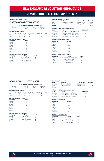### **REVOLUTION II vs. CHATTANOOGA RED WOLVES SC**

|     |                 |                                 | <b>ALL-TIME USL LEAGUE ONE RECORD</b> |           |             |                |             |       |
|-----|-----------------|---------------------------------|---------------------------------------|-----------|-------------|----------------|-------------|-------|
|     | Overall<br>Home |                                 |                                       | Away      |             | <b>Neutral</b> |             |       |
|     | $1 - 2 - 1$     |                                 | $0 - 1 - 1$                           |           | $1 - 1 - 0$ |                | $0 - 0 - 0$ |       |
|     |                 | <b>Goals Scored by Interval</b> |                                       |           |             |                |             |       |
|     | $1 - 15$        | $16 - 30$                       | $31 - 45$                             | $46 - 60$ | 61-75 76-90 |                | ΩT          | Total |
| NF  | n               |                                 |                                       |           |             |                |             | 5     |
| CHA |                 |                                 |                                       |           |             |                |             | 8     |

#### **All-Time Revolution Stats**

| Category       | <b>Totals</b> |
|----------------|---------------|
| Goals          | 5             |
| <b>Assists</b> | 3             |
| Shots          | 38            |
| Saves          | 17            |
| Fouls          | 55            |
| Offsides       | 3             |
| Corners        | 12            |

| <b>All-Time Revolution Leaders</b> |                    |               |  |  |
|------------------------------------|--------------------|---------------|--|--|
| Category                           | <b>Player</b>      | <b>Totals</b> |  |  |
| Goals                              | Three Players Tied |               |  |  |
| Assists                            | Connor Presley     | 3             |  |  |
| Shots                              | Nicolas Firmino    | 5             |  |  |
| Saves                              | Joe Rice           | 14            |  |  |

|               | <b>Revolution Record by Venue</b>       |                    |             |
|---------------|-----------------------------------------|--------------------|-------------|
| Years         | <b>Stadium</b>                          | <b>Competition</b> | Record      |
| 2020-2021     | CHI Memorial Stadium                    | USL League One     | $1 - 1 - 0$ |
| 2020          | Gillette Stadium                        | USL League One     | $0 - 1 - 1$ |
| <b>Totals</b> |                                         |                    | $1 - 2 - 1$ |
|               | <b>All-Time USL League One Meetings</b> |                    |             |
| Date          | <b>Score</b>                            | <b>NE Result</b>   |             |
| 00/20/20      | Now Feelend 0 of Chattenesse 4          |                    |             |

#### 08/29/20 New England 0 at Chattanooga 4 L<br>09/09/20 Chattanooga 2 at New England 1 L 09/09/20 Chattanooga 2 at New England 1 L<br>05/15/21 Chattanooga 2 at New England 2 T 05/15/21 Chattanooga 2 at New England 2 T 09/25/21 New England 1 at Chattanoogo 0 W

#### **All-Time Chattanooga Stats**

| Category | <b>Totals</b> |
|----------|---------------|
| Goals    | 8             |
| Assists  | 7             |
| Shots    | 50            |
| Saves    | 7             |
| Fouls    | 63            |
| Offsides | 8             |
| Corners  | 29            |
|          |               |

### **All-Time Chattanooga Leaders**

| Category | <b>Player</b>                | <b>Totals</b> |
|----------|------------------------------|---------------|
| Goals    | Marky Hernandez/Angel Espana | 2             |
| Assists  | Five Players Tied            |               |
| Shots    | Ronaldo Pineda               |               |
| Saves    | Alex Mangels                 | 4             |

### **REVOLUTION II vs. FC TUCSON**

|           |             |                                 | <b>ALL-TIME USL LEAGUE ONE RECORD</b> |           |             |             |                |       |
|-----------|-------------|---------------------------------|---------------------------------------|-----------|-------------|-------------|----------------|-------|
| Overall   |             |                                 | Home                                  |           | Away        |             | <b>Neutral</b> |       |
|           | $0 - 3 - 0$ |                                 | $0 - 1 - 0$                           |           | $0 - 2 - 0$ |             | $0 - 0 - 0$    |       |
|           |             | <b>Goals Scored by Interval</b> |                                       |           |             |             |                |       |
|           | $1 - 15$    | $16 - 30$                       | $31 - 45$                             | $46 - 60$ |             | 61-75 76-90 | OT             | Total |
| <b>NF</b> |             |                                 |                                       |           |             |             |                | 3     |
| THC.      |             |                                 |                                       |           |             |             |                |       |

#### **All-Time Revolution Stats**

| Category       | <b>Totals</b>            |
|----------------|--------------------------|
| Goals          | 3                        |
| <b>Assists</b> | $\overline{\phantom{a}}$ |
| Shots          | 45                       |
| Saves          | 11                       |
| Fouls          | 44                       |
| Offsides       | 4                        |
| Corners        | 15                       |

#### **All-Time Revolution Leaders**

| Category | <b>Plaver</b>    | <b>Totals</b> |
|----------|------------------|---------------|
| Goals    | Damian Rivera    |               |
| Assists  | 2 players tied   |               |
| Shots    | Orlando Sinclair | 4             |
| Saves    | Joe Rice         |               |

## **Years Stadium Competition Record** 2020-2021 Kino North Stadium USL League One 0-2-0 2021 Gillette Stadium USL League One 0-1-0

**Revolution Record by Venue**

| <b>Totals</b> |                                         | $0 - 3 - 0$      |
|---------------|-----------------------------------------|------------------|
|               | <b>All-Time USL League One Meetings</b> |                  |
| Date          | Score                                   | <b>NE Result</b> |
| 09/16/20      | New England 0 at Tucson 1               |                  |
| 07/17/21      | New England 2 at Tucson 4               |                  |
| 09/01/21      | Tucston 2 at New England 1              |                  |

#### **All-Time Tucson Stats**

| Category       | <b>Totals</b> |
|----------------|---------------|
| Goals          |               |
| <b>Assists</b> | 6             |
| Shots          | 56            |
| Saves          | 12            |
| Fouls          | 38            |
| Offsides       | 8             |
| Corners        | 15            |
|                |               |

## **All-Time Tucson Leaders**

| Category | <b>Player</b>         | <b>Totals</b> |
|----------|-----------------------|---------------|
| Goals    | Tobenna Uzo           |               |
| Assists  | <b>Charlie Dennis</b> | 3             |
| Shots    | Giovanni Ramos Godov  | 4             |
| Saves    | <b>Wallis Lapsley</b> | 15            |



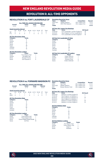### **Revolution Record by Venue Years Stadium Competition Record REVOLUTION II vs. FORT LAUDERDALE CF**

## **ALL-TIME USL LEAGUE ONE RECORD Overall Home Away Neutral**

|     | $3 - 0 - 0$ |                                 | $2 - 0 - 0$ |  |          | $1 - 0 - 0$          |  | $0 - 0 - 0$ |  |
|-----|-------------|---------------------------------|-------------|--|----------|----------------------|--|-------------|--|
|     |             | <b>Goals Scored by Interval</b> |             |  |          |                      |  |             |  |
|     | $1-15$      | $16 - 30$                       | 31-45       |  |          | 46-60 61-75 76-90 OT |  | Total       |  |
| NF  | Ω           |                                 |             |  |          |                      |  |             |  |
| FTI |             |                                 |             |  | $^{(1)}$ |                      |  |             |  |

### **All-Time Revolution Stats Category Totals**

| Category       | <b>Totals</b> |
|----------------|---------------|
| Goals          | 6             |
| <b>Assists</b> | 5             |
| Shots          | 32            |
| Saves          | 8             |
| Fouls          | 38            |
| Offsides       | 9             |
| Corners        | 16            |

#### **All-Time Revolution Leaders**

| <b>Totals</b> |
|---------------|
|               |
|               |
| 3             |
| 5             |
|               |

| <b>Stadium</b>         | <b>Competition</b> | Record                                                                                                                                                    |
|------------------------|--------------------|-----------------------------------------------------------------------------------------------------------------------------------------------------------|
| Gillette Stadium       | USL League One     | $2 - 0 - 0$                                                                                                                                               |
| <b>DRV PNK Stadium</b> | USL League One     | $1 - 0 - 0$                                                                                                                                               |
|                        |                    | $3 - 0 - 0$                                                                                                                                               |
|                        |                    |                                                                                                                                                           |
| Score                  |                    | <b>NE Result</b>                                                                                                                                          |
|                        |                    | W                                                                                                                                                         |
|                        |                    | W                                                                                                                                                         |
|                        |                    | w                                                                                                                                                         |
|                        |                    |                                                                                                                                                           |
|                        |                    | <b>All-Time USL League One Meetings</b><br>Fort Lauderdale 1 at New England 4<br>New England 1 at Fort Lauderdale 0<br>Fort Lauderdale 0 at New England 1 |

#### **All-Time Fort Lauderdale CF Stats**

| <b>Totals</b> |
|---------------|
|               |
|               |
| 41            |
| 5             |
| 36            |
| 6             |
| 25            |
|               |

## **All-Time Fort Lauderdale CF Leaders Category Player Totals**

| Category       | <b>Plaver</b>   | Tota |
|----------------|-----------------|------|
| Goals          | Felipe Valencia |      |
| <b>Assists</b> | Edison Azcona   |      |
| Shots          | Eduardo Sosa    | 5    |
| Saves          | Drake Callender | з    |
|                |                 |      |

#### **REVOLUTION II vs. FORWARD MADISON FC Revolution Record by Venue**

| <b>ALL-TIME USL LEAGUE ONE RECORD</b> |          |                                 |           |             |                |             |    |       |
|---------------------------------------|----------|---------------------------------|-----------|-------------|----------------|-------------|----|-------|
| Overall<br>Home                       |          |                                 | Away      |             | <b>Neutral</b> |             |    |       |
| $3 - 3 - 0$<br>$2 - 1 - 0$            |          | $1 - 2 - 0$                     |           | $0 - 0 - 0$ |                |             |    |       |
|                                       |          | <b>Goals Scored by Interval</b> |           |             |                |             |    |       |
|                                       | $1 - 15$ | $16 - 30$                       | $31 - 45$ | $46 - 60$   |                | 61-75 76-90 | OT | Total |
| <b>NF</b>                             |          |                                 |           |             |                |             |    | 6     |
| MAD                                   |          |                                 |           |             |                |             |    |       |

#### **All-Time Revolution Stats**

| Category       | <b>Totals</b> |
|----------------|---------------|
| Goals          | 5             |
| <b>Assists</b> | Δ             |
| Shots          | 75            |
| Saves          | 21            |
| Fouls          | 80            |
| Offsides       | 9             |
| Corners        | 31            |

#### **All-Time Revolution Leaders**

| Category | <b>Player</b>                   | <b>Totals</b> |
|----------|---------------------------------|---------------|
| Goals    | Three players tied              |               |
| Assists  | Three players tied              |               |
| Shots    | Connor Presley/Orlando Sinclair | 5             |
| Saves    | Joe Rice                        | 19            |

| Years         | <b>Stadium</b>                                | <b>Competition</b> | <b>Record</b> |
|---------------|-----------------------------------------------|--------------------|---------------|
| 2020          | <b>Hart Park</b>                              | USL League One     | $0 - 1 - 0$   |
| 2020-2021     | Gillette Stadium                              | USL League One     | $2 - 1 - 0$   |
| 2021          | USL League One<br><b>Breese Stevens Field</b> |                    | $1 - 1 - 0$   |
| <b>Totals</b> |                                               |                    | $3 - 3 - 0$   |
|               | <b>All-Time USL League One Meetings</b>       |                    |               |
| <b>Date</b>   | <b>Score</b>                                  | <b>NE Result</b>   |               |
| 09/04/20      | Madison 4 at New England 0                    |                    |               |
| 10/24/20      | New England 1 at Madison 2                    |                    |               |

| 06/19/21 | New England 2 at Madison 0 | w |
|----------|----------------------------|---|
| 06/30/21 | New England 0 at Madison 1 | L |
| 10/01/21 | Madison 0 at New England 1 | W |
| 10/12/21 | Madison 0 at New England 1 | W |
|          |                            |   |

### **All-Time Madison Stats**

| <b>Totals</b> |
|---------------|
|               |
| 4             |
| 94            |
| 16            |
| 72            |
| 11            |
| 23            |
|               |

### **All-Time Madison Leaders**

| All-Time Madison Leaders |                          |               |  |  |
|--------------------------|--------------------------|---------------|--|--|
| Category                 | <b>Plaver</b>            | <b>Totals</b> |  |  |
| Goals                    | <b>Five Players Tied</b> |               |  |  |
| <b>Assists</b>           | Three Players Tied       |               |  |  |
| Shots                    | Paulo Jr.                |               |  |  |
| Saves                    | Phil Breno               | $10^{1}$      |  |  |



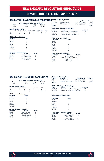## **REVOLUTION II vs. GREENVILLE TRIUMPH SC Revolution Record by Venue Years Stadium Competition Record**

| <b>ALL-TIME USL LEAGUE ONE RECORD</b> |                            |           |           |           |                |             |             |       |
|---------------------------------------|----------------------------|-----------|-----------|-----------|----------------|-------------|-------------|-------|
| Overall<br>Home                       |                            |           | Away      |           | <b>Neutral</b> |             |             |       |
|                                       | $1 - 2 - 0$<br>$1 - 1 - 0$ |           |           |           | $0 - 1 - 0$    |             | $0 - 0 - 0$ |       |
| <b>Goals Scored by Interval</b>       |                            |           |           |           |                |             |             |       |
|                                       | $1 - 15$                   | $16 - 30$ | $31 - 45$ | $46 - 60$ |                | 61-75 76-90 | OT          | Total |
| NF                                    | n                          |           |           |           |                |             | 0           |       |
|                                       |                            |           |           |           |                |             |             |       |

### **All-Time Revolution Stats Category Totals**

| Category | lotais |  |  |
|----------|--------|--|--|
| Goals    |        |  |  |
| Assists  |        |  |  |
| Shots    | 27     |  |  |
| Saves    | 12     |  |  |
| Fouls    | 28     |  |  |
| Offsides | 6      |  |  |
| Corners  | 5      |  |  |

#### **All-Time Revolution Leaders**

| Category       | <b>Player</b>   | <b>Totals</b> |
|----------------|-----------------|---------------|
| Goals          | Ryo Shimazaki   |               |
| <b>Assists</b> | Nicolas Firmino |               |
| <b>Shots</b>   | Mayele Malango  | 5             |
| Saves          | Joe Rice        | 15            |

#### 2020-2021 Gillette Stadium USL League One 1-1-0<br>2021 Triumph Stadium USL League One 1-1-0 2021 Triumph Stadium USI League One 0-1-0<br> **Totals** 1-2-0 **Totals 1-2-0 All-Time USL League One Meetings Date Score NE Result** 08/26/20 Greenville 0 at New England 1 W 07/04/21 Greenville 3 at New England 0 L<br>10/16/21 New England 0 at Greenville 1 L New England 0 at Greenville 1

## **All-Time Greenville Stats Category Totals**

| Category       | lotais                   |
|----------------|--------------------------|
| Goals          | 4                        |
| <b>Assists</b> | $\overline{\phantom{a}}$ |
| Shots          | 50                       |
| <b>Saves</b>   | 4                        |
| Fouls          | 31                       |
| Offsides       | 7                        |
| Corners        | 14                       |
|                |                          |

#### **All-Time Greenville Leaders**

| Category       | <b>Player</b>               | <b>Totals</b> |
|----------------|-----------------------------|---------------|
| Goals          | Marios Lomis                | з             |
| <b>Assists</b> | Abdi Mohamed/Aaron Walker 2 |               |
| <b>Shots</b>   | Aaron Walker                |               |
| Saves          | Dallas Jaye                 | 6             |
|                |                             |               |

### **REVOLUTION II vs. NORTH CAROLINA FC**

| <b>ALL-TIME USL LEAGUE ONE RECORD</b> |          |                                 |           |             |                |             |    |       |
|---------------------------------------|----------|---------------------------------|-----------|-------------|----------------|-------------|----|-------|
| Overall<br>Home                       |          |                                 | Away      |             | <b>Neutral</b> |             |    |       |
| $1 - 0 - 0$<br>$1 - 1 - 0$            |          | $0 - 1 - 0$                     |           | $0 - 0 - 0$ |                |             |    |       |
|                                       |          | <b>Goals Scored by Interval</b> |           |             |                |             |    |       |
|                                       | $1 - 15$ | $16 - 30$                       | $31 - 45$ | $46 - 60$   |                | 61-75 76-90 | ΩT | Total |
| <b>NF</b>                             |          |                                 |           |             |                |             | Ω  | 2     |
| N <sub>C</sub>                        |          |                                 |           |             |                |             |    |       |

### **All-Time Revolution Stats**

| Category       | <b>Totals</b> |
|----------------|---------------|
| Goals          |               |
| <b>Assists</b> | 4             |
| Shots          | 37            |
| Saves          | 5             |
| Fouls          | 19            |
| Offsides       | 4             |
| Corners        | 14            |

#### **All-Time Revolution Leaders Category Player Totals** Goals Edward Kizza 2 Assists Four Players Tied 1<br>Shots Ryan Spaulding 7 Shots Ryan Spaulding 7<br>Saves loe Rice 3 **Joe Rice**

|               | <b>Revolution Record by Venue</b> |                    |             |
|---------------|-----------------------------------|--------------------|-------------|
| Years         | <b>Stadium</b>                    | <b>Competition</b> | Record      |
| 2021          | Gillette Stadium                  | USL League One     | $1 - 0 - 0$ |
| 2021          | WakeMed Soccer Park               | USL League One     | $0 - 1 - 0$ |
| <b>Totals</b> |                                   |                    | $1 - 1 - 0$ |
|               |                                   |                    |             |
|               | .                                 |                    |             |

| <b>All-Time USL League One Meetings</b> |                                   |                  |  |  |  |
|-----------------------------------------|-----------------------------------|------------------|--|--|--|
| Date                                    | Score                             | <b>NE Result</b> |  |  |  |
| 08/05/21                                | North Carolina 0 at New England 3 | w                |  |  |  |
| 09/11/21                                | New England 1 at North Carolina 4 |                  |  |  |  |

#### **All-Time North Carolina Stats**

| Category       | <b>Totals</b>            |
|----------------|--------------------------|
| Goals          | 4                        |
| <b>Assists</b> | 3                        |
| Shots          | 18                       |
| Saves          | 9                        |
| Fouls          | 31                       |
| Offsides       | 4                        |
| Corners        | $\overline{\phantom{a}}$ |

| <b>All-Time North Carolina Leaders</b> |                   |               |  |  |  |
|----------------------------------------|-------------------|---------------|--|--|--|
| Category                               | <b>Plaver</b>     | <b>Totals</b> |  |  |  |
| Goals                                  | Nazmi Albadawi    | 2             |  |  |  |
| <b>Assists</b>                         | Josh Coan         | 2             |  |  |  |
| Shots                                  | Josh Coan         | 6             |  |  |  |
| Saves                                  | Nicholas Holliday | 9             |  |  |  |



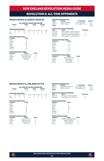### **REVOLUTION II vs. NORTH TEXAS SC**

| <b>ALL-TIME USL LEAGUE ONE RECORD</b>                                                                                                    |                |  |             |  |             |   |                |   |
|------------------------------------------------------------------------------------------------------------------------------------------|----------------|--|-------------|--|-------------|---|----------------|---|
|                                                                                                                                          | Overall        |  | Home        |  | Away        |   | <b>Neutral</b> |   |
|                                                                                                                                          | $1 - 1 - 2$    |  | $1 - 0 - 1$ |  | $0 - 1 - 1$ |   | $0 - 0 - 0$    |   |
| <b>Goals Scored by Interval</b><br>$16-30$<br>$31 - 45$<br>Total<br>61-75 76-90<br>$46 - 60$<br>$1 - 15$<br>ΩT<br>NF<br>2<br>2<br>8<br>Ω |                |  |             |  |             |   |                |   |
| <b>NTX</b>                                                                                                                               | $\mathfrak{D}$ |  |             |  | n           | 3 |                | 8 |

### **All-Time Revolution Stats Category Totals**

| <b>Calegory</b> | юнав |
|-----------------|------|
| Goals           | 8    |
| Assists         | 6    |
| Shots           | 55   |
| Saves           | 13   |
| Fouls           | 43   |
| Offsides        | 5    |
| Corners         | 25   |
|                 |      |

#### **All-Time Revolution Leaders**

| <b>Totals</b> |
|---------------|
| 2             |
|               |
| 6             |
| 11            |
|               |

| <b>Years</b>  | <b>Stadium</b>                          |                | <b>Competition</b> | Record      |
|---------------|-----------------------------------------|----------------|--------------------|-------------|
| 2020-21       | Choctaw Stadium                         | USL League One |                    | $0 - 1 - 1$ |
| 2020-21       | Gillette Stadium                        | USL League One |                    | $0 - 0 - 1$ |
| <b>Totals</b> |                                         |                |                    | $1 - 1 - 2$ |
|               | <b>All-Time USL League One Meetings</b> |                |                    |             |
| Date          | <b>Score</b>                            |                | <b>NE Result</b>   |             |
| 08/15/20      | New England 3 at North Texas 3          |                | т                  |             |
| 10/16/20      | North Texas 1 at New England 1          |                | т                  |             |
| 06/26/21      | North Texas 0 at New England 3          |                | W                  |             |
| 10/23/21      | New England 1 at North Texas 4          |                |                    |             |
|               | <b>All-Time North Texas Stats</b>       |                |                    |             |
| Category      | <b>Totals</b>                           |                |                    |             |
| Goals         | 8                                       |                |                    |             |
| Assists       | 8                                       |                |                    |             |
| Shots         | 61                                      |                |                    |             |
| Saves         | 14                                      |                |                    |             |
| Fouls         | 51                                      |                |                    |             |
| Offsides      | 8                                       |                |                    |             |
| Corners       | 27                                      |                |                    |             |

### **All-Time North Texas Leaders**

| Category       | <b>Player</b>             | <b>Totals</b> |
|----------------|---------------------------|---------------|
| Goals          | <b>Eight Players Tied</b> |               |
| <b>Assists</b> | Juan Alvarez              | 2             |
| Shots          | Beni Redzic               | 5             |
| Saves          | Luis Zamudio              | 4             |
|                |                           |               |

### **REVOLUTION II vs. ORLANDO CITY B**

|             |          |                                 | <b>ALL-TIME USL LEAGUE ONE RECORD</b> |       |             |             |                |       |
|-------------|----------|---------------------------------|---------------------------------------|-------|-------------|-------------|----------------|-------|
| Overall     |          |                                 | Home                                  |       | Away        |             | <b>Neutral</b> |       |
| $1 - 1 - 0$ |          |                                 | $0 - 1 - 0$                           |       | $1 - 0 - 0$ |             | $0 - 0 - 0$    |       |
|             |          | <b>Goals Scored by Interval</b> |                                       |       |             |             |                |       |
|             | $1 - 15$ | $16 - 30$                       | $31 - 45$                             | 46-60 |             | 61-75 76-90 | ΩT             | Total |
| NF          | Ω        |                                 |                                       |       |             |             |                |       |
|             |          |                                 |                                       |       |             |             |                |       |

#### **All-Time Revolution Stats**

| Category | <b>Totals</b> |  |  |  |  |
|----------|---------------|--|--|--|--|
| Goals    |               |  |  |  |  |
| Assists  |               |  |  |  |  |
| Shots    | 34            |  |  |  |  |
| Saves    | 6             |  |  |  |  |
| Fouls    | 22            |  |  |  |  |
| Offsides | 5             |  |  |  |  |
| Corners  | 15            |  |  |  |  |

#### **All-Time Revolution Leaders**

| Category       | <b>Player</b>    | <b>Totals</b> |
|----------------|------------------|---------------|
| Goals          | Justin Rennicks  |               |
| <b>Assists</b> | Orlando Sinclair |               |
| <b>Shots</b>   | Nicolas Firmino  | 8             |
| <b>Saves</b>   | Joe Rice         | հ             |

| Years         | <b>Stadium</b>        | <b>Competition</b> | Record      |
|---------------|-----------------------|--------------------|-------------|
| 2020-21       | Osceola Heritage Park | USL League One     | $1 - 0 - 0$ |
| 2020-21       | Gillette Stadium      | USL League One     | $0 - 1 - 0$ |
| <b>Totals</b> |                       |                    | $1 - 1 - 0$ |

| Date     | ---<br><b>Score</b>        | <b>NE Result</b> |
|----------|----------------------------|------------------|
| 08/07/20 | Orlando 2 at New England 0 |                  |
| 09/26/20 | New England 1 at Orlando 0 | W                |

#### **All-Time Orlando Stats**

| All-Three Original Stats |                |
|--------------------------|----------------|
| Category                 | <b>Totals</b>  |
| Goals                    | 2              |
| Assists                  | $\mathfrak{p}$ |
| Shots                    | 27             |
| Saves                    | 10             |
| Fouls                    | 33             |
| Offsides                 | 7              |
| Corners                  | 9              |
|                          |                |

#### **All-Time Orlando Leaders**

| Category       | <b>Player</b>                | <b>Totals</b> |
|----------------|------------------------------|---------------|
| Goals          | Wilfredo Rivera/Kenji Tanaka |               |
| <b>Assists</b> | Moises Tablante              | 2             |
| Shots          | Moises Tablante              | 11            |
| Saves          | Austin Aviza                 | 10            |



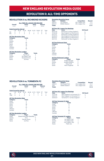### **REVOLUTION II vs. RICHMOND KICKERS**

|            |             |                                  | <b>ALL-TIME USL LEAGUE ONE RECORD</b> |       |               |       |                |       |
|------------|-------------|----------------------------------|---------------------------------------|-------|---------------|-------|----------------|-------|
|            | Overall     |                                  | Home                                  |       | Away          |       | <b>Neutral</b> |       |
|            | $2 - 3 - 1$ |                                  | $1 - 2 - 0$                           |       | $1 - 1 - 1$   |       | $0 - 0 - 0$    |       |
|            |             |                                  |                                       |       |               |       |                |       |
|            |             | <b>Goals Scored by Interval</b>  |                                       |       |               |       |                |       |
|            | $1 - 15$    | $16 - 30$                        | $31 - 45$                             | 46-60 | 61-75         | 76-90 | OT             | Total |
| <b>NF</b>  | 0           | $\overline{c}$                   | 2                                     | 2     | 1             | 4     | 0              | 11    |
| <b>RIC</b> | 2           | 1                                | 3                                     | 3     | 0             | 4     | 0              | 13    |
|            |             | <b>All-Time Revolution Stats</b> |                                       |       |               |       |                |       |
| Category   |             |                                  | <b>Totals</b>                         |       |               |       |                |       |
| Goals      |             |                                  | 11                                    |       |               |       |                |       |
| Assists    |             |                                  | 7                                     |       |               |       |                |       |
| Shots      |             |                                  | 95                                    |       |               |       |                |       |
| Saves      |             |                                  | 16                                    |       |               |       |                |       |
| Fouls      |             |                                  | 79                                    |       |               |       |                |       |
| Offsides   |             |                                  | 5                                     |       |               |       |                |       |
| Corners    |             |                                  | 35                                    |       |               |       |                |       |
|            |             |                                  |                                       |       |               |       |                |       |
|            |             |                                  | <b>All-Time Revolution Leaders</b>    |       |               |       |                |       |
| Category   |             |                                  | Player                                |       | <b>Totals</b> |       |                |       |
| Goals      |             |                                  | Noel Buck                             |       | 3             |       |                |       |
| Assists    |             |                                  | Six Players Tied                      |       | 1             |       |                |       |

|               | <b>Revolution Record by Venue</b>       |                    |                  |             |
|---------------|-----------------------------------------|--------------------|------------------|-------------|
| <b>Years</b>  | <b>Stadium</b>                          | <b>Competition</b> |                  | Record      |
| 2020-21       | City Stadium                            | USL League One     |                  | $1 - 1 - 1$ |
| 2020-21       | Gillette Stadium                        | USL League One     |                  | $1 - 2 - 0$ |
| <b>Totals</b> |                                         |                    |                  | $2 - 3 - 1$ |
|               | <b>All-Time USL League One Meetings</b> |                    |                  |             |
| Date          | <b>Score</b>                            |                    | <b>NE Result</b> |             |
| 08/21/20      | Richmond 2 at New England 1             |                    |                  |             |
| 10/03/20      | New England 4 at Richmond 0             |                    | W                |             |
| 04/17/21      | Richmond 3 at New England 0             |                    | L                |             |
| 06/05/21      | New England 2 at Richmond 3             |                    |                  |             |
| 08/14/21      | New England 2 at Richmond 2             |                    | T                |             |
| 09/17/21      | Richmond 1 at New England 3             |                    | W                |             |
|               | <b>All-Time Richmond Stats</b>          |                    |                  |             |
| Category      | <b>Totals</b>                           |                    |                  |             |
| Goals         | 13                                      |                    |                  |             |
| Assists       | 10                                      |                    |                  |             |
| Shots         | 69                                      |                    |                  |             |
| Saves         | 21                                      |                    |                  |             |
| Fouls         | 95                                      |                    |                  |             |
| Offsides      | 12                                      |                    |                  |             |
| Corners       | 26                                      |                    |                  |             |
|               | All-Time Dichmond Loaders               |                    |                  |             |

|                | All-Time Richmond Leaders |               |  |
|----------------|---------------------------|---------------|--|
| Category       | <b>Player</b>             | <b>Totals</b> |  |
| Goals          | Emiliano Terzaghi         | 3             |  |
| <b>Assists</b> | Jonathan Bolanos          | 3             |  |
| Shots          | <b>Ryley Kraft</b>        | 5             |  |
| Saves          | Akira Fitzgerald          | 16            |  |
|                |                           |               |  |

### **REVOLUTION II vs. TORMENTA FC**

Assists Six Players Tied<br>Shots Nicolas Firmino 8 Shots Nicolas Firmino 8 Joe Rice

|           |             |                                 | <b>ALL-TIME USL LEAGUE ONE RECORD</b> |           |             |             |                |       |
|-----------|-------------|---------------------------------|---------------------------------------|-----------|-------------|-------------|----------------|-------|
|           | Overall     |                                 | Home                                  |           | Away        |             | <b>Neutral</b> |       |
|           | $0 - 1 - 2$ |                                 | $0 - 0 - 1$                           |           | $0 - 1 - 1$ |             | $0 - 0 - 0$    |       |
|           |             | <b>Goals Scored by Interval</b> |                                       |           |             |             |                |       |
|           | $1 - 15$    | $16 - 30$                       | $31 - 45$                             | $46 - 60$ |             | 61-75 76-90 | OТ             | Total |
| <b>NF</b> |             |                                 |                                       |           |             |             |                | 2     |
| TRN       |             |                                 |                                       |           |             |             |                |       |

#### **All-Time Revolution Stats**

| Category | <b>Totals</b>  |
|----------|----------------|
| Goals    | 2              |
| Assists  | 0              |
| Shots    | 38             |
| Saves    | 11             |
| Fouls    | 23             |
| Offsides | $\mathfrak{p}$ |
| Corners  | 11             |

#### **All-Time Revolution Leaders**

| Category | <b>Player</b>               | <b>Totals</b> |
|----------|-----------------------------|---------------|
| Goals    | Edward Kizza/Ryan Spaulding |               |
| Assists  | N/A                         |               |
| Shots    | Damian Rivera               | 4             |
| Saves    | Joe Rice                    |               |

#### **All-Time USL League One Meetings**

**Revolution Record by Venue<br>
Years Stadium**<br>
2020-21 Erik Russell Park

| Date     | <b>Score</b>                   | <b>NE Result</b> |
|----------|--------------------------------|------------------|
| 10/21/20 | New England 0 at Tormenta FC 4 |                  |
| 08/21/21 | New England 1 at Tormenta FC 1 | т                |
| 09/05/21 | Tormenta FC 1 at New England 1 | т                |

**Yearth Competition Competition**<br> **Erik Russell Park** USL League One 0-1-1 2020-21 Erik Russell Park USL League One 0-1-1 2021 Gillette Stadium USL League One 0-0-1 **Totals 0-1-2**

### **All-Time Tormenta FC Stats**

| <b>Totals</b>  |
|----------------|
| 6              |
| 4              |
| 41             |
| $\overline{7}$ |
| 36             |
| 7              |
| 17             |
|                |

| <b>All-Time Tormenta FC Leaders</b> |                   |               |  |
|-------------------------------------|-------------------|---------------|--|
| Category                            | <b>Plaver</b>     | <b>Totals</b> |  |
| Goals                               | Six Players Tied  |               |  |
| <b>Assists</b>                      | Four Players Tied |               |  |
| Shots                               | Four Players Tied | 2             |  |
| Saves                               | Pablo Jara        |               |  |



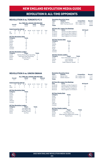### **REVOLUTION II vs. TORONTO FC II**

| <b>ALL-TIME USL LEAGUE ONE RECORD</b> |                                 |           |             |           |                |             |             |       |
|---------------------------------------|---------------------------------|-----------|-------------|-----------|----------------|-------------|-------------|-------|
| Overall<br>Home                       |                                 |           | Away        |           | <b>Neutral</b> |             |             |       |
|                                       | $2 - 2 - 0$                     |           | $2 - 0 - 0$ |           | $0 - 2 - 0$    |             | $0 - 0 - 0$ |       |
|                                       | <b>Goals Scored by Interval</b> |           |             |           |                |             |             |       |
|                                       | $1 - 15$                        | $16 - 30$ | $31 - 45$   | $46 - 60$ |                | 61-75 76-90 | OT          | Total |
| <b>NF</b>                             | Ω                               |           |             |           |                |             | Ω           | 2     |
| TOR                                   |                                 |           |             |           |                |             |             | 2     |

#### **All-Time Revolution Stats**

| Category       | <b>Totals</b>  |
|----------------|----------------|
| Goals          | 2              |
| <b>Assists</b> | $\mathfrak{p}$ |
| Shots          | 53             |
| Saves          | 13             |
| Fouls          | 54             |
| Offsides       | 11             |
| Corners        | 27             |

#### **All-Time Revolution Leaders**

| Category       | <b>Plaver</b>                | <b>Totals</b> |
|----------------|------------------------------|---------------|
| Goals          | Damian Rivera/Ryan Spaulding |               |
| <b>Assists</b> | Noel Buck/Jake Rozhansky     |               |
| Shots          | Damian Rivera                |               |
| Saves          | Joe Rice                     | 13            |

|               | <b>Revolution Record by Venue</b>       |                    |             |
|---------------|-----------------------------------------|--------------------|-------------|
| Years         | <b>Stadium</b>                          | <b>Competition</b> | Record      |
| 2021          | Gillette Stadium                        | USL League One     | $2 - 0 - 0$ |
| 2021          | <b>BMO Training Ground</b>              | USL League One     | $0 - 2 - 0$ |
| <b>Totals</b> |                                         |                    | $2 - 2 - 0$ |
|               | <b>All-Time USL League One Meetings</b> |                    |             |
| Date          | Score                                   | <b>NE Result</b>   |             |
| 07/09/21      | Toronto 0 at New England 1              | w                  |             |
| 07/23/21      | Toronto 0 at New England 1              | W                  |             |
| 10/08/21      | New England 0 at Toronto 1              |                    |             |
| 10/29/21      | New England 0 at Tornoto 1              |                    |             |
|               | <b>All-Time Toronto Stats</b>           |                    |             |
| Category      | <b>Totals</b>                           |                    |             |

| Category | <b>Totals</b>            |
|----------|--------------------------|
| Goals    | 2                        |
| Assists  | $\overline{\phantom{a}}$ |
| Shots    | 33                       |
| Saves    | 12                       |
| Fouls    | 50                       |
| Offsides | 5                        |
| Corners  | 17                       |
|          |                          |

### **All-Time Toronto Leaders Category Player Totals**

| category | <b>Plaver</b>              | rotais |
|----------|----------------------------|--------|
| Goals    | Kevin Politz/Paul Rothrock |        |
| Assists  | Luca Petrasso              | 2      |
| Shots    | Julian Altobelli           |        |
| Saves    | Caleb Patterson-Sewell     | ĥ      |
|          |                            |        |

### **REVOLUTION II vs. UNION OMAHA**

| <b>ALL-TIME USL LEAGUE ONE RECORD</b> |             |                                    |                    |       |               |                |                |       |
|---------------------------------------|-------------|------------------------------------|--------------------|-------|---------------|----------------|----------------|-------|
| Overall                               |             |                                    | Home               |       | Away          |                | <b>Neutral</b> |       |
|                                       | $1 - 2 - 1$ |                                    | $0 - 1 - 1$        |       | $1 - 1 - 0$   |                | $0 - 0 - 0$    |       |
|                                       |             | <b>Goals Scored by Interval</b>    |                    |       |               |                |                |       |
|                                       | $1 - 15$    | $16 - 30$                          | $31 - 45$          | 46-60 | 61-75         | 76-90          | OТ             | Total |
| NF                                    | 1           | 1                                  | 0                  | 0     | 1             | 1              | 0              | 4     |
| <b>OMA</b>                            | U           |                                    |                    | 1     | 0             | $\mathfrak{p}$ | 0              | 5     |
|                                       |             | <b>All-Time Revolution Stats</b>   |                    |       |               |                |                |       |
| Category                              |             |                                    | <b>Totals</b>      |       |               |                |                |       |
| Goals                                 |             |                                    | 4                  |       |               |                |                |       |
| <b>Assists</b>                        |             |                                    | 3                  |       |               |                |                |       |
| Shots                                 |             |                                    | 40                 |       |               |                |                |       |
| Saves                                 |             |                                    | 16                 |       |               |                |                |       |
| Fouls                                 |             |                                    | 44                 |       |               |                |                |       |
| Offsides                              |             |                                    | 12                 |       |               |                |                |       |
| Corners                               |             |                                    | 15                 |       |               |                |                |       |
|                                       |             | <b>All-Time Revolution Leaders</b> |                    |       |               |                |                |       |
| Category                              |             |                                    | Player             |       | <b>Totals</b> |                |                |       |
| Goals                                 |             |                                    | Four Players Tied  |       | 1             |                |                |       |
| <b>Assists</b>                        |             |                                    | Three Players Tied |       | 1             |                |                |       |
| Shots                                 |             |                                    | Nicolas Firmino    |       | 5             |                |                |       |
| Saves                                 |             |                                    | Joe Rice           |       | 13            |                |                |       |

|               | <b>Revolution Record by Venue</b>       |                    |             |
|---------------|-----------------------------------------|--------------------|-------------|
| <b>Years</b>  | <b>Stadium</b>                          | <b>Competition</b> | Record      |
| 2020-21       | <b>Werner Park</b>                      | USL League One     | $1 - 1 - 0$ |
| 2020-21       | Gillette Stadium                        | USL League One     | $0 - 1 - 1$ |
| <b>Totals</b> |                                         |                    | $1 - 2 - 1$ |
|               | <b>All-Time USL League One Meetings</b> |                    |             |
| Date          | <b>Score</b>                            | <b>NE Result</b>   |             |
| 07/25/20      | Omaha 0 at New England 0                |                    |             |
|               | _ _ _                                   |                    |             |

| W |
|---|
|   |
|   |
|   |

#### **All-Time Omaha Stats**

| <b>Totals</b> |
|---------------|
| 5             |
| 3             |
| 71            |
| 13            |
| 52            |
| 8             |
| 29            |
|               |

#### **All-Time Omaha Leaders**

| Category       | <b>Player</b>                     | <b>Totals</b> |
|----------------|-----------------------------------|---------------|
| Goals          | Grea Hurst                        | 4             |
| <b>Assists</b> | Three Players Tied                |               |
| Shots          | Ethan Vanacore-Decker/Evan Conway | 6             |
| Saves          | Rashid Nuhu                       | 13            |



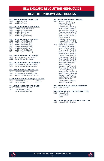## REVOLUTION II: awards & honors

#### **USL LEAGUE ONE SAVE OF THE YEAR**

2020 Joe Rice (Winner) 2021 Joe Rice (Winner)

#### **USL LEAGUE ONE SAVE OF THE MONTH**

- 2020 Joe Rice (September Winner) 2020 Joe Rice (August Finalist)<br>2021 Joe Rice (June Winner) Joe Rice (June Winner) 2021 Joe Rice (July Winner)
- 2021 Joe Rice (August Winner)

#### **USL LEAGUE ONE SAVE OF THE WEEK**

 Joe Rice (Week of Sept. 5) 2020 Joe Rice (Week of Aug. 15) Joe Rice (Week of July 19) Joe Rice (Week of July 26) 2021 Joe Rice (Week of Sept. 27) Joe Rice (Week of Oct. 11) 2021 Joe Rice (Week of Oct. 25)

#### **USL LEAGUE ONE GOAL OF THE YEAR**

- 2020 Nicolas Firmino (Semi-Finalist)
- 2020 Damian Rivera (Nominated)

#### **USL LEAGUE ONE GOAL OF THE MONTH**

2020 Nicolas Firmino (October Winner) 2020 Damian Rivera (October Finalist)

#### **USL LEAGUE ONE GOAL OF THE WEEK**

- 2020 Damian Rivera (Week of Oct. 17)
- 2020 Nicolas Firmino (Week of Oct. 10) 2021 Michael Tsicoulias (Week of July 5)
- 

#### **REVOLUTION II GOLDEN BOOT (2020-Present)**

- 2020 Nicolas Firmino .....................................(4G, 2A)
- 2021 Damian Rivera..................

#### **USL LEAGUE ONE PLAYER OF THE WEEK**

- 2020 Nicolas Firmino (Week 13)
- 2021 Sean O'Hearn (Week 1) Damian Rivera (Week 18)

**USL LEAGUE ONE TEAM OF THE WEEK**

2020 Joe Rice - (Week 2) Isaac Angking (Week 5) Joe Rice (Week 7) Nicolas Firmino (Week 7) Ryan Spaulding (Week 10) Nicolas Firmino (Week 10) Tiago Mendonça (Week 11) Orlando Sinclair (Week 11) Ryan Spaulding (Week 12) Maciel (Week 12) Tiago Mendonça (Week 12) Nicolas Firmino (Week 13) Tiago Mendonça (Week 13) 2021 Pierre Cayet (Week 8) Earl Edwards Jr. (Week 8) Jake Rozhansky (Week 8) Ryan Spaulding (Week 11) Ryan Spaulding (Week 12) Jake Rozhansky (Week 12) Damian Rivera (Week 12) Ryan Spaulding (Week 14) Ryan Spaulding (Week 16) Jake Rozhansky (Week 16) Edward Kizza (Week 18) Joe Rice (Week 18) Damian Rivera (Week 18) Ryan Spaulding (Week 18) Noel Buck (Week 19) Ryan Spaulding (Week 22) Jake Rozhansky (Week 24) Damian Rivera (Week 24) Justin Rennicks (Week 25) Joe Rice (Week 25) Collin Verfurth (Week 26) Joe Rice (Week 28)

#### **USL LEAGUE ONE ALL-LEAGUE FIRST TEAM**

2021 Ryan Spaulding

#### **USL LEAGUE ONE ALL-LEAGUE SECOND TEAM**

2020 Nicolas Firmino Collin Verfurth Maciel

**USL LEAGUE ONE YOUNG PLAYER OF THE YEAR** 2020 Nicolas Firmino (Finalist)



R.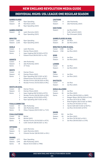## individual highs: usl leagueoneregularseason

#### **GAMES PLAYED**

Career: 42 Ryan Spaulding<br>Season: 28 Noel Buck (2021 Noel Buck (2021) 28 Ryan Spaulding (2021)

#### **GAMES STARTED**

Season: 26 Justin Rennicks (2021) 26 Ryan Spaulding (2021)

#### **MINUTES**

Career: 3,402 Ryan Spaulding<br>Season: 2,333 Ryan Spaulding Ryan Spaulding (2021)

#### **GOALS**

| Career: | q | <b>Justin Rennicks</b>            |
|---------|---|-----------------------------------|
| Season: | 6 | Damian Rivera (2021)              |
| Game:   | 2 | Isaac Angking (08/15/2020 at NTX) |
|         |   | Edward Kizza (08/05/2021 vs. NC)  |
|         |   |                                   |

#### **ASSISTS**

| Career: | 6 | Jake Rozhansky        |
|---------|---|-----------------------|
| Season: | 6 | Jake Rozhansky (2021) |
| Game:   |   | 37 Times              |

### **SHOTS**

| Career: | 81 | Damian Rivera                       |
|---------|----|-------------------------------------|
| Season: | 67 | Damian Rivera (2021)                |
| Game:   | 7  | Ryan Spaulding (09/11/2021 at NC)   |
|         | 6  | Edward Kizza (10/23/2021 at NTX)    |
|         | 6  | Nicolas Firmino (09/26/2020 at ORL) |
|         | 6  | Nicolas Firmino (10/03/2020 at ORL) |

#### **SHOTS ON GOAL**

| Career: | 28 | Damian Rivera                       |
|---------|----|-------------------------------------|
| Season: | 23 | Damian Rivera (2021)                |
| Game:   | 3  | Isaac Angking (08/15/2020 at NTX)   |
|         | 3  | Nicolas Firmino (09/26/2020 at ORL) |
|         | 3  | Isaac Angking (10/03/2020 at RIC)   |
|         | 3  | Ryan Spaulding (09/11/2021 at NC)   |

#### **FOULS COMMITTED**

| Career: | 54              | Jake Rozhansky                       |
|---------|-----------------|--------------------------------------|
| Season: | 54              | Jake Rozhansky (2021)                |
| Game:   | 10 <sup>2</sup> | Hikaru Fujiwara (09/01/2021 vs. TUC) |

#### **FOULS SUFFERED**

| Career: | 59 | Michel                              |
|---------|----|-------------------------------------|
| Season: | 59 | Michel (2021)                       |
| Game:   | 6  | Nicolas Firmino (10/16/2020 vs NTX) |
|         | 6  | Collin Verfurth (08/05/2021 vs. NC) |
|         |    |                                     |

#### **OFFSIDES**

| Career: | 12 | Justin Rennicks                      |
|---------|----|--------------------------------------|
| Season: | 10 | Justin Rennicks (2021)               |
| Game:   |    | Orlando Sinclair (08/26/2020 vs GVL) |

#### **PASSES**

| Career: | 1.777 | Ryan Spaulding             |
|---------|-------|----------------------------|
| Season: | 1.346 | Jake Rozhansky (2021)      |
| Game:   | 81    | Maciel (10/21/2020 vs TRM) |

### **CAUTIONS**

| Career:          | 9 | Jake Rozhansky        |
|------------------|---|-----------------------|
| Season:          | 9 | Jake Rozhansky (2021) |
|                  |   |                       |
| <b>EJECTIONS</b> |   |                       |
| Season:          | 1 | Joe Rice (2021)       |

### 1 Collin Verfurth (2021) 1 Ryo Shimazaki (2020)

### **GAMES PLAYED IN GOAL**

Career: 29 Joe Rice Season: 20 Joe Rice (2021)

### **MINUTES PLAYED IN GOAL**

| Career: | 2.496 | Joe Rice        |
|---------|-------|-----------------|
| Season: | 1.799 | Joe Rice (2021) |

#### **WINS**

- Career: 12 Joe Rice Season: 9 Joe Rice (2021)
- **LOSSES** Career: 10 Joe Rice
- Season: 7 Joe Rice (2021)

## **TIES**

| Career: | 6 | Joe Rice        |
|---------|---|-----------------|
| Season: | Δ | Joe Rice (2021) |

### **SHUTOUTS**

| Career: | 11 | Joe Rice        |
|---------|----|-----------------|
| Season: | 8  | Joe Rice (2021) |

### **GOALS ALLOWED**

| Career:      | 31 | Joe Rice                          |
|--------------|----|-----------------------------------|
| Season:      | 20 | Joe Rice (2021)                   |
| Game:        | 4  | Joe Rice (09/04/2020 vs. MAD)     |
|              | 4  | Keegan Meyer (08/29/2020 at CHA)  |
|              | 4  | Joe Rice (10/21/20 at TRM)        |
|              | 4  | Brad Knighton (06/12/2021 at OMA) |
|              | 4  | Joe Rice (07/16/2021 at TUC)      |
|              | 4  | Yannik Oettl (09/11/2021 at NCFC) |
|              | 4  | Joe Rice (10/23/2021 at NTX)      |
|              |    |                                   |
| <b>SAVES</b> |    |                                   |

| Career: | 105 | Joe Rice                     |
|---------|-----|------------------------------|
| Season: | 63  | Joe Rice (2021)              |
| Game:   | 9   | Joe Rice (10/16/2021 at GVL) |
|         | 8   | Joe Rice (09/09/2020 vs CHA) |
|         |     |                              |

(R



**374**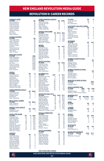## REVOLUTION II: CAREER RECORDS

#### **GAMES PLAYED**

| <b>GAMES PLAYE</b><br><b>PLAYER</b><br>Ryan Spaulding<br><b>PLAYED</b><br>Damian Rivera<br>Damiam Hivera<br>Justin Rennicks<br>Colby Quiñones<br>Connor Presley<br>Collin Verfurth<br>Hikaru Fujiwara<br>Nee Rice<br>Noe mee<br>Noel Buck<br>Sean O'Hearn                    |                                                                                  |                                                                                 | GP<br>42<br>38<br>ა <sub>0</sub><br>34<br>34<br>33<br><br>33<br>31<br>31<br>28<br>27<br>23                    |
|------------------------------------------------------------------------------------------------------------------------------------------------------------------------------------------------------------------------------------------------------------------------------|----------------------------------------------------------------------------------|---------------------------------------------------------------------------------|---------------------------------------------------------------------------------------------------------------|
| <b>GAMES STARTED</b><br>PLAYER<br><b>FLATER</b><br>Ryan Spaulding<br>Justin Rennicks<br>Collin Verfurth<br>Damian Rivera<br>Connor Presley<br>Joe Rice<br>Colby Quiñones<br>Jake Rozhansky<br>Noel Buck<br>Sean O'Hearn                                                      |                                                                                  |                                                                                 | GS<br>38<br>33<br>32<br>32<br>28<br>28<br>$\frac{24}{22}$<br>21<br>20                                         |
| <b>MINUTES PLAYED</b><br><b>PLAYER</b><br>Ryan Spaulding<br>Collin Verfurth<br>Justin Rennicks<br><b>Damin Herinicks</b><br>De Rice<br>Connor Presley<br>Colby Quiñones<br>Jake Rozhansky<br>Noel Buck<br>Sean O'Hearn                                                       |                                                                                  |                                                                                 | <b>MIN</b><br>3,402<br>2,848<br>4,648<br>2,739<br>2,710<br>2,496<br>2,336<br>2,139<br>1,853<br>1,845<br>1,845 |
| <b>GOALS</b><br>PLAYER<br>Justin Rennicks<br>Damian Rivera<br><b>Noel Buck</b><br><b>Edward Kizza</b><br>Ryan Spaulding<br>Nicolas Firmino<br>Nicolas Firmino<br>Isaac Angking<br>Pierre Cayet<br>Ryan Sierakowski<br>Michael Tsicoulias                                     |                                                                                  | GP<br>34<br>ა<br>38<br>36<br>27<br>12<br>42<br>16<br>8<br>20<br>$\frac{15}{12}$ | G<br>ē<br>855<br>4<br>422224                                                                                  |
| <b>GAME-V</b><br>PLAYER<br><b>WINNING GOALS</b><br><b>Justin Rennicks</b><br>Damian Rivera<br>Edward Kizza<br>Noel Buck<br>Ryan Spaulding                                                                                                                                    |                                                                                  | GP<br>34<br>.<br>38<br>11<br>$^{27}_{42}$                                       | GWG<br>6<br>3<br>Ī<br>1                                                                                       |
| <b>MULTI-GOAL GAMES<br/>PLAYER</b><br>Isaac Angking<br>Edward Kizza                                                                                                                                                                                                          |                                                                                  | GP<br>8<br>12                                                                   | MGG<br>1<br>1                                                                                                 |
| <b>PENALTY KICK GOALS</b><br>PLAYER<br>Nicolas Firmino<br>Damian Rivera                                                                                                                                                                                                      |                                                                                  | GP<br>16<br>38                                                                  | <b>PKG</b><br>1<br>1                                                                                          |
| GOALS I<br><b>PER GAME</b><br>Edward Kizza<br>Justin Rennicks<br>Isaac Angking<br>Nicolas Filmino<br>Damian Rivera<br>Noel Buck<br>Moel Buck<br>Michael Tsicoulias<br>Michael Isicounas<br>Orlando Sinclair<br>Ryan Sierakowski<br>Ryan Spaulding<br><i>Minimum: 4 goals</i> | GP<br>$\frac{12}{1}$<br>34<br>8<br>16<br>$\frac{38}{27}$<br>12<br>14<br>15<br>42 | G<br>$rac{5}{2}$<br>4<br>85222<br>4                                             | AVG<br>$0.42$<br>$0.26$<br>$0.25$<br>$0.25$<br>$0.21$<br>$0.19$<br>0.17<br>$\frac{0.14}{0.13}$<br>0.10        |
| <b>ASSISTS</b><br>PLAYER<br><u>TS</u><br><b>PLAYER</b><br>Jake Rozhansky<br>Justin Rennicks<br>Hikaru Fujiwara<br>Connor Presley<br>Ryan Spaulding<br>Orlando Sinclair<br>Necolas Firmino<br>Damian Rivera<br>Sean O'Hearn<br>Colby Quiñones                                 |                                                                                  | GP<br>--<br>22<br>34<br>31<br>$\frac{33}{42}$<br>14<br>16<br>38<br>23<br>34     | Α<br>6<br>ā<br>4<br>$-4322222$                                                                                |

| <b>GAME-WINNIN</b><br>PLAYER<br>Jake Rozhansky<br><b>-WINNING ASSISTS</b><br>Orlando Sinclair<br>Onando Sincian<br>Noel Buck<br>Sean O'Hearn<br>Hikaru Fujiwara<br>Colby Quiñones                                                                                                     |                                                                                                 | GP<br>$\frac{1}{2}$<br>14<br>$\frac{27}{23}$<br>31<br>34                            | $\frac{GWA}{2}$<br>$\overline{c}$<br>$\begin{array}{c} 1 \\ 1 \end{array}$<br>1<br>1                                        |
|---------------------------------------------------------------------------------------------------------------------------------------------------------------------------------------------------------------------------------------------------------------------------------------|-------------------------------------------------------------------------------------------------|-------------------------------------------------------------------------------------|-----------------------------------------------------------------------------------------------------------------------------|
| <b>ASSISTS PER GAME</b><br>PLAYER<br>PENDIO<br>Criando Sinclair<br>Tiago Mendonça<br>Hikaru Fujiwara<br>Justin Rennicks<br>Ryan Spaulding<br>Minimum: 2 assists                                                                                                                       | GP<br>14<br>16<br>16<br>31<br>34<br>42                                                          | AST<br>wwwww.                                                                       | <b>AVG</b><br>$0.14$<br>$0.13$<br>$0.13$<br>0.10<br>0.09<br>0.07                                                            |
| <u>SHOTS</u><br>PLAYER<br>Damian Rivera<br>Damian Rivera<br>Ryan Spaulding<br>Justin Rennicks<br>Nicolas Firmino<br>Connor Presley<br>Edward Kizza<br>Orlando Sinclair<br>Michel<br>Michel                                                                                            |                                                                                                 | GP<br>37<br>42<br>$\frac{34}{16}$<br>$\frac{33}{12}$<br>14<br>15<br>$\overline{21}$ | <b>SHT</b><br>81<br>59<br>57<br>$\frac{36}{36}$<br>$\frac{31}{24}$<br>17                                                    |
| <u>SHOTS ON GOAL</u><br>PLAYER<br>Damian Rivera<br>Justin Rennicks<br>Edward Kizza<br>Nicolas Firmino<br>Noel Buck<br><b>Ryan Spaulding</b>                                                                                                                                           |                                                                                                 | GP<br>38<br>$34$<br>$34$<br>$12$<br>16<br>27<br>42                                  | <b>SOG</b><br>28<br>24<br>18<br>$\frac{15}{13}$<br>11                                                                       |
| SCORING PCT.<br>PLAYER<br>Michael Tsicoulias<br>Michael Tsicour<br>Pierre Cayet<br>Isaac Angking<br>Edward Kizza<br>Justin Renicks<br>Noel Buck<br>Noel Buck<br>Ryan Sierakowski<br>Nicolas Firmino<br>Damian Rivera<br>Orlando Sinclair<br>Ryan Spaulding<br><i>Minimum: 2 goals</i> | <b>SHT</b><br>6<br>Ź<br>10<br>32<br>$rac{32}{59}$<br>$rac{59}{16}$<br>36<br>ē4<br>$^{24}$<br>51 | G<br>2225952<br>4<br>$\frac{8}{2}$<br>4                                             | PCT<br>33.3<br>28.6<br>20.0<br>$\frac{1}{15.6}$<br>$15.3$<br>$14.3$<br>14.3<br>12.5<br>11.1<br>$\frac{9.5}{8.3}$<br><br>7.8 |
| <b>LATER</b><br>Mayele Malango<br>Edward Kizza<br>Edward Nizza<br>Isaac Angking<br>Damian Rivera<br>Justin Rennicks<br>Nicolas Firmino<br>Nicolas Finlino<br>Tiago Mendonça<br>Noel Buck<br>Orlando Sinclair<br>Ryan Spaulding<br><i>Minimum: 5 shots on goal</i>                     | 16<br>32<br>$\overline{10}$<br>81<br>57<br>36<br>17<br>35<br>24<br>51                           | <b>SOG</b><br>10<br>iā<br>5<br>ں<br>38<br>24<br>13<br>6<br>$\frac{12}{7}$           | PCT<br>62.5<br>56.3<br>50.0<br>46.9<br>42.1<br>36.1<br>35.3<br>35.3<br>29.2<br>17.6                                         |
| <b>FOULS COMMITTED</b><br><b>PLAYER</b><br>Jake Rozhansky<br>Justin Rennicks<br>Connor Presley<br>Ryan Spaulding<br>Collin Verfurth<br>Michel<br>Pierre Cayet<br>Colby Quiñones<br>Maciel<br>Damian Rivera                                                                            |                                                                                                 | GP<br>22<br>34<br>33<br>42<br>33<br>$\frac{21}{21}$<br>$\frac{1}{34}$<br>38         | ٠c<br>F<br>53<br>37<br>36<br>33<br>33<br>30<br>$\frac{28}{5}$<br>28<br>27<br>24<br>23                                       |
| <b>FOULS</b><br>PLAYER<br><u>S SUFFERED</u><br>Michel<br>nnener<br>Ryan Spaulding<br>Justin Rennicks<br>Justini nemicks<br>Damian Rivera<br>Jake Rozhansky<br>Nicolas Firmino<br>Colby Quiñones<br>Hikaru Fujiwara<br>Connor Presley                                                  |                                                                                                 | GP<br>21<br><sup>42</sup><br>$34$<br>$38$<br>$22$<br>16<br>34<br>.<br>31<br>33      | FS<br>59<br>50<br>50<br>43<br>39<br>34<br>33<br>33<br>31<br>27<br>26                                                        |

| <b>PLAYER</b><br>Collin Verfurth<br>Joe Rice<br>Ryo Shimazaki                                                                                                                                                            | GP<br>33<br>28                                                        | E<br>1<br>1<br>1                                   |
|--------------------------------------------------------------------------------------------------------------------------------------------------------------------------------------------------------------------------|-----------------------------------------------------------------------|----------------------------------------------------|
| Jake Rozhansky<br>Michel<br>ranchen<br>Sean O'Hearn<br>Collin Verfurth<br>Joe Rice<br>Colby Quiñones<br>François Dulysse<br>Maciel                                                                                       | ìP<br>$\frac{22}{5}$<br>$\frac{21}{23}$<br>34<br>28<br>34<br>11<br>19 | 8766554                                            |
| OFFSIDES<br>PLAYER<br><b>Justin Rennicks</b><br>Orlando Sinclair<br>Damian Rivera<br>Damian Tivera<br>Mayele Malango<br>Connor Presley<br>Edward Kizza<br>Nicolas Firmino<br>Michel<br>Hikaru Fujiwara<br>Colby Quinones | GP<br>34<br>14<br>$\frac{38}{14}$<br>33<br>11<br>16<br>21<br>31<br>34 | OFF<br>$\overline{12}$<br>11<br>8554322            |
| GAMES PLAYED IN GOAL<br>PLAYER<br>Joe Rice<br>Keegan Meyer<br>Earl Edwards Jr.<br>Yannik Oettl<br>Brad Knighton                                                                                                          |                                                                       | GP<br>28<br>8322                                   |
| GAMES STARTED IN GOAL<br>PLAYER<br>Joe Rice<br>Soc Theo<br>Keegan Meyer<br>Earl Edwards Jr.<br>Yannik Oettl                                                                                                              |                                                                       | GS<br>28<br>7<br>4<br>2<br>2                       |
| <b>Brad Knighton</b>                                                                                                                                                                                                     |                                                                       |                                                    |
| <b>MINUTES PLAYED IN GOAL</b><br><b>PLAYER</b><br>Joe Rice<br>Keegan Meyer                                                                                                                                               |                                                                       | MIN<br>2,496<br>654                                |
| <b>GOALS</b><br>PLAYER<br><b>AGAINST AVG.</b><br>MİN<br>Joe Rice<br>2,496<br>-<br>Keegan Meyer<br>Minimum: 500 minutes played                                                                                            | GA<br>31<br>14                                                        | GAA<br>1.12<br>1.93                                |
| <b>WINNING PCT.</b><br>PLAYER<br>GP<br>Joe Rice<br>28<br>Keegan Meyer<br>$\mathsf{R}$                                                                                                                                    | <b>RECORD</b><br>$12 - 10 - 6$<br>$2 - 4 - 1$                         | PCT<br>$.577$<br>$.357$                            |
| <u>WINS</u><br>PLAYER<br>Joe Rice                                                                                                                                                                                        | GP<br>28                                                              | W<br>iż                                            |
| <u>LOSSES</u><br>PLAYER<br>.<br>Keegan Meyer<br>Joe Rice                                                                                                                                                                 | GP<br>8<br>28                                                         | ı<br>4<br>10                                       |
| <b>SAVES</b><br>PLAYER<br>Joe Rice<br>Keegan Meyer<br>Brad Knighton<br>Earl Edwards Jr.<br>Yannik Oettl                                                                                                                  | GP<br>28<br>8<br>$\overline{c}$<br>4<br>2                             | <b>SVS</b><br>105<br>21<br>11<br>$\mathsf{R}$<br>6 |
| <b>SHUTOUTS</b><br>PLAYER<br>Joe Rice<br>Earl Edwards Jr.                                                                                                                                                                | GP<br>28<br>4                                                         | s٥<br>Ū<br>$\overline{c}$                          |
| SAVES PERCENTAGE<br>PLAYER SAVES<br>Joe Rice<br>108<br>Minimum: 25 Saves                                                                                                                                                 | sog<br>147                                                            | PCT<br>73.5                                        |

#### **EJECTIONS (RED CARDS)**

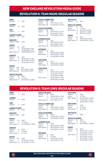## REVOLUTION II: team highs (regularseason)

#### **WINS**

| WINS                 |                |                   | <b>FOULS COMMITTED</b>      |       |
|----------------------|----------------|-------------------|-----------------------------|-------|
| Season:              | 11             | 2021              | 364<br>Season:              | 2021  |
|                      |                |                   | 22<br>Game:                 | 07/17 |
| <b>LOSSES</b>        |                |                   | Both Teams: 39              | 07/2  |
| Season:              | 13             | 2021              |                             |       |
|                      |                |                   | <b>FOULS SUFFERED</b>       |       |
| TIES                 |                |                   | 391<br>Season:              | 2021  |
| Season:              | 4              | 2021              | 19<br>Game:                 | 05/16 |
|                      |                |                   | 19                          | 08/14 |
| <b>GAMES PLAYED</b>  |                |                   | Both Teams: 39              | 07/2  |
| Season:              | 28             | 2021              |                             |       |
| <b>MINUTES</b>       |                |                   | <b>CORNER KICKS</b>         |       |
| Season: 3.060        |                | 2020              | 131<br>Season:              | 2021  |
|                      |                |                   | 9<br>Game:                  | 08/15 |
| <b>GOALS</b>         |                |                   | 9                           | 08/14 |
| Season:              | 33             | 2021              | Both Teams: 18              | 05/2  |
| Game:                | 4              | 10/03/2020 at RIC |                             |       |
|                      | $\overline{4}$ | 10/09/2020 vs FTL | <b>OFFSIDES</b>             |       |
| Both Teams: 6        |                | 08/15/2020 at NTX | Season:<br>40               | 2021  |
|                      |                |                   | Game:<br>$\overline{7}$     | 09/19 |
| <b>ASSISTS</b>       |                |                   | Both Teams:<br>9            | 08/0  |
| Season:              | 23             | 2021              | 9                           | 09/19 |
| Game:                | 3              | 08/05/2021 vs NC  | <b>CAUTIONS</b>             |       |
| Both Teams: 5        |                | 08/15/2020 at NTX | 61<br>Season:               | 2021  |
|                      | 5              | 10/23/2021 at NTX | Game:<br>6                  | 06/19 |
|                      |                |                   | Both Teams: 9               | 06/19 |
| <b>SHOTS</b>         |                |                   |                             |       |
| Season:              | 369            | 2021              | <b>EJECTIONS</b>            |       |
| Game:                | 26             | 09/17/2021 vs RIC | $\overline{c}$<br>Season:   | 2021  |
| Both Teams:40        |                | 10/23/2021 at NTX | Game:<br>1                  | 08/0  |
|                      |                |                   | 1                           | 10/16 |
| <b>SHOTS ON GOAL</b> |                |                   | 1                           | 10/29 |
| Season:              | 118            | 2021              | Both Teams:<br>$\mathbf{1}$ | 08/0  |
| Game:                | 8              | 4 Times           |                             |       |
| Both Teams: 17       |                | 06/12/2021 at OMA | 1                           | 09/19 |

| Game:                 | 22  | 07/17/2021 at TUC |
|-----------------------|-----|-------------------|
| Both Teams: 39        |     | 07/23/2021 vs TOR |
|                       |     |                   |
| <b>FOULS SUFFERED</b> |     |                   |
| Season:               | 391 | 2021              |
| Game:                 | 19  | 05/16/2021 vs CHA |
|                       | 19  | 08/14/2021 at RIC |
| Both Teams: 39        |     | 07/23/2021 vs TOR |
|                       |     |                   |

#### **CORNER KICKS**

| Season:        | 131 | 2021              |
|----------------|-----|-------------------|
| Game:          | 9   | 08/15/2020 at NTX |
|                | a   | 08/14/2021 at RIC |
| Both Teams: 18 |     | 05/28/2021 vs FTL |
|                |     |                   |

#### **OFFSIDES**

| Season:       | 40 | 2021              |
|---------------|----|-------------------|
| Game:         |    | 09/19/2020 at OMA |
| Both Teams: 9 |    | 08/07/2020 vs ORL |
|               | Q  | 09/19/2020 at OMA |
|               |    |                   |

#### **AUTIONS**

| Season:       | 61 | 2021              |
|---------------|----|-------------------|
| Game:         | 6  | 06/19/2021 at MAD |
| Both Teams: 9 |    | 06/19/2021 at MAD |

#### **JECTIONS**

|                     |   | 1411 IE. 20 09/1/2021 VS NIU | Season: | $\mathcal{P}$ | 2021                            |
|---------------------|---|------------------------------|---------|---------------|---------------------------------|
|                     |   |                              | Game:   |               | 1 08/07/2020 vs ORL             |
| <b>HOTS ON GOAL</b> |   |                              |         |               | 10/16/2021 at GVL               |
| eason: 118          |   | 2021                         |         |               | 10/29/2021 at TOR               |
| iame:               | 8 | 4 Times                      |         |               | Both Teams: 1 08/07/2020 vs ORL |
|                     |   |                              |         |               | 09/19/2020 at OMA               |

## REVOLUTION II: team LOWS (regularseason)

| <b>WINS</b><br>Season:         | 5 | 2020    |
|--------------------------------|---|---------|
| <b>LOSSES</b><br>Season:       | 8 | 2020    |
| <b>TIES</b><br>Season:         | 3 | 2020    |
| <b>GAMES PLAYED</b><br>Season: |   | 16 2020 |

#### **MINUTES**

Season: 2,520 2021

#### **GOALS**

Season: 19 2020 Game: 0 13 Times<br>Both Teams: 0 07/25/20

07/25/2020 vs OMA

#### **ASSISTS**

Season: 14 2020 Game: 0 16 Times<br>Both Teams: 0 6 Times Both Teams: 0

#### **SHOTS**

| Season:        | 192 |
|----------------|-----|
| Game:          | 2   |
| Both Teams: 13 |     |

Season: 192 2020 10/16/2021 at GVL 10/08/2021 at TOR

| <b>SHOTS ON GOAL</b>  |     |                    |  |  |  |
|-----------------------|-----|--------------------|--|--|--|
| Season:               | 65. | 2020               |  |  |  |
| Game:<br><sup>o</sup> |     | 08/29/2020 at CHA  |  |  |  |
|                       | O   | 04/17/2021 vs. RIC |  |  |  |
| Both Teams: 3         |     | 04/10/2021 vs. FTL |  |  |  |

### **FOULS COMMITTED**

Season: 170 2020<br>Game: 4 10/21 Game: 4 10/21/2020 at TRM<br>Both Teams: 15 10/24/2020 at MAD 10/24/2020 at MAD

### **FOULS SUFFERED**

Season: 193 2020<br>Game: 6 07/09 Game: 6 07/09/2021 vs TOR Both Teams: 15 10/24/2020 at MAD

#### **CORNER KICKS**

| Season:       | 76. | 2020              |
|---------------|-----|-------------------|
| Game:         | U   | 09/19/2020 at OMA |
| Both Teams: 5 |     | 08/26/2020 vs GVL |
|               | 5.  | 05/16/2021 vs CHA |
|               |     |                   |

### **OFFSIDES**

| Season:       | 33. | 2020              |
|---------------|-----|-------------------|
| Game:         | n.  | 6 Times           |
| Both Teams: 0 |     | 06/05/2021 at RIC |
|               | ∩   | 09/01/2021 vs TUC |

#### **CAUTIONS**<br>Season: 21 Season: 21 2020<br>Game: 0 9 Times Game: 0<br>Both Teams: 0 0 09/04/2020 vs MAD<br>0 07/04/2021 vs GVL 0 07/04/2021 vs GVL 0 09/05/2021 vs TRM **EJECTIONS** Season: 1 2020<br>Game: 0 41 Tin

Game: 0 41 Times<br>Both Teams: 0 38 Times Both Teams: 0

## **SHUTOUTS**<br>Season: 5

**SHUTOUTS**<br>Season: 10 Season: 10 2021 GOALS ALLOWED Season: 39<br>Game: 4 Game: 4 7 Times<br>Both Teams: 6 08/15/2

**SAVES**

Season: 90 2021<br>Game: 9 10/16 Game: 9 10/16/2021 at GVL<br>Both Teams: 12 09/09/2020 vs CH

08/15/20 at NTX 6 06/12/21 at OMA<br>6 07/17/21 at TUC 07/17/21 at TUC

09/09/2020 vs CHA

Season: 5 2020

#### **GOALS ALLOWED**

| Season:       | 26.    | 2020              |
|---------------|--------|-------------------|
| Game:         | $\cap$ | 20 Times          |
| Both Teams: 0 |        | 07/25/2020 vs OMA |

#### **SAVES** Season: 66 2020

| .             |    |                   |
|---------------|----|-------------------|
| Game:         | O  | 05/16/2021 vs CHA |
|               | O  | 06/26/2021 vs NTX |
| Both Teams: 2 |    | 04/10/2021 at FTL |
|               |    | 04/17/2021 vs RIC |
|               | 2  | 05/16/2021 vs CHA |
|               | 2. | 06/26/2021 vs NTX |



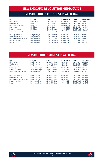## REVOLUTION II: YOUNGEST PLAYER TO...

| <b>FEAT</b>              | <b>PLAYER</b>      | AGE               | <b>BIRTHDATE</b> | <b>DATE</b> | <b>OPPONENT</b> |
|--------------------------|--------------------|-------------------|------------------|-------------|-----------------|
| Play in a game           | <b>Isaie Louis</b> | 15 yrs., 245 days | 01/08/2005       | 09/09/2020  | vs CHA          |
| Start a game             | Noel Buck          | 16 yrs, 5 days    | 04/05/2005       | 04/10/2021  | at FTL          |
| Play a complete game     | Noel Buck          | 16 yrs, 5 days    | 04/05/2005       | 04/10/2021  | at FTI          |
| Score a goal             | Noel Buck          | 16 yrs, 41 days   | 04/05/2005       | 05/16/2021  | vs. CHA         |
| Record an assist         | Noel Buck          | 16 yrs, 95 days   | 04/05/2005       | 07/09/2021  | vs. TOR         |
| Score 2 goals in a game  | Isaac Angking      | 20 yrs., 204 days | 01/24/2000       | 08/15/2020  | at NTX          |
| Play a game as GK        | Keegan Meyer       | 23 yrs., 165 days | 03/10/1997       | 08/21/2020  | vs RIC          |
| Start a game as GK       | Keegan Meyer       | 23 yrs., 165 days | 03/10/1997       | 08/21/2020  | vs RIC          |
| Play complete game as GK | Keegan Meyer       | 23 yrs., 165 days | 03/10/1997       | 08/21/2020  | vs RIC          |
| Record a shutout         | Keegan Meyer       | 23 yrs., 208 days | 03/10/1997       | 10/03/2020  | at RIC          |
| Record a win             | Keegan Meyer       | 23 yrs., 208 days | 03/10/1997       | 10/03/2020  | at RIC          |

## REVOLUTION II: OLDEST PLAYER TO...

| <b>FEAT</b>              | <b>PLAYER</b>        | AGE               | <b>BIRTHDATE</b> | <b>DATE</b> | <b>OPPONENT</b> |
|--------------------------|----------------------|-------------------|------------------|-------------|-----------------|
| Play in a game           | <b>Brad Knighton</b> | 36 yrs, 126 days  | 02/06/1985       | 06/12/2021  | at OMA          |
| Start a game             | <b>Brad Knighton</b> | 36 yrs, 126 days  | 02/06/1985       | 06/12/2021  | at OMA          |
| Play a complete game     | <b>Brad Knighton</b> | 36 yrs, 126 days  | 02/06/1985       | 06/12/2021  | at OMA          |
| Score a goal             | Tiago Mendonça       | 25 yrs., 2 days   | 10/08/1995       | 10/09/2020  | vs. FTI         |
| Record an assist         | Tiago Mendonça       | 24 yrs., 312 days | 10/08/1995       | 08/15/2020  | at NTX          |
| Score 2 goals in a game  | <b>Fdward Kizza</b>  | 22 yrs., 241 days | 12/07/1998       | 08/05/2021  | vs. NC          |
| Play a game as GK        | <b>Brad Knighton</b> | 36 yrs, 126 days  | 02/06/1985       | 06/12/2021  | at OMA          |
| Start a game as GK       | <b>Brad Knighton</b> | 36 yrs, 126 days  | 02/06/1985       | 06/12/2021  | at OMA          |
| Play complete game as GK | <b>Brad Knighton</b> | 36 yrs, 126 days  | 02/06/1985       | 06/12/2021  | at OMA          |
| Record a shutout         | Earl Edwards Jr.     | 29 yrs, 153 days  | 01/24/1992       | 06/26/2021  | vs. NTX         |
| Record a win             | Farl Edwards Ir.     | 29 vrs. 153 days  | 01/24/1992       | 06/26/2021  | vs. NTX         |



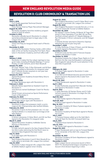## REVOLUTION II: CLUB CHRONOLOGY & TRANSACTION LOG

#### **2019**

#### **June 2, 2019**

Curt Onalfo appointed Technical Director. **August 29, 2019**

Chris Tierney hired as Player Recruitment Manager. **August 30, 2019**

Revolution Academy launches residency program ahead of 2019-20 season.

#### **October 9, 2019**

Revolution officially launch Revolution II, a developmental professional team to begin play in USL League One in 2020.

#### **November 25, 2019**

Hired Clint Peay as inaugural head coach of Revolution II.

#### **December 9, 2019**

Unveiled the Revolution Training Center, a \$35 million state-of-the-art facility housing the First Team, Revolution II, Revolution Academy, and front office staff.

#### **2020**

#### **January 7, 2020**

Revolution II makes first four player signings to inaugural roster, including M Mayele Malango, F Connor Presley, D Collin Verfurth, and D Nick Woodruff.

#### **January 16, 2020**

M Lucas "Maciel" Felix, D Ryo Shimazaki, and M Ryan Spaulding added to Revolution II's inaugural roster and F Orlando Sinclair acquired on one-year loan from Deportivo Saprissa.

#### **January 21, 2020**

Signed Revolution Academy forward Meny Silva to Revolution II.

#### **January 28, 2020**

M Tiago Mendonça signs with Revolution II.

#### **February 3, 2020**

Marcelo Santos appointed as Assistant Coach for Revolution II.

Yuta Nomura named Goalkeeper Coach for Revolution II.

#### Daniel Kirwan announced as Sports Performance Coach of Revolution II.

#### **February 10, 2020**

Revolution II hold first training session. GK Keegan Meyer signs with Revolution II.

#### **February 19, 2020**

Revolution II plays first preseason match, a scrimmage at USL Championship side Hartford Athletic.

### **February 22, 2020**

Revolution II earns its first preseason win, 1-0, over Hartford Athletic in a closed-door scrimmage at Gillette Stadium.

#### **March 3, 2020**

D Simon Lekressner, D Oskar Bloch, and GK Joe Rice signed to the Revolution II's inaugural roster.

### **March 11, 2020**

Signed Revolution Academy midfielder Dennis Ramirez to Revolution II.

#### **July 6, 2020**

D Collin Verfurth signed to the New England Revolution MLS roster, becoming the first Revs II alum to ascend to New England's first-team roster.

### **July 14, 2020**

D Jon Bell signs with Revolution II.

#### **July 15, 2020**

New England Revolution II and D Nick Woodruff mutually agree to terminate USL League One contract.

### **July 25, 2020**

Revolution II plays inaugural USL League One match at Gillette Stadium against Union Omaha.

#### **August 22, 2020**

New England Revolution II and D Oskar Bloch mutually agree to terminate USL League One contract. **August 26, 2020**

New England Revolution II records first win, a 1-0 victory over Greenville Triumph at Gillette Stadium.

### **November 30, 2020**

Re-signed F Connor Presley, M Maciel, M Tiago Mendonça, D Ryan Spaulding, D Jon Bell, GK Joe Rice. Declined contract options of F Mayele Malango, D Ryo Shimazaki, D Simon Lekressner, and GK Keegan Meyer.

F Orlando Sinclair returned to Deportivo Saprissa following the end of year-long loan.

#### **December 1, 2020**

D Colby Quiñones, D Sean O'Hearn, and GK Marzuq Puckerin signed to Revolution II roster.

#### **December 8, 2020**

M Michel Costa da Silva and D Francois Dulysse signed to Revolution II roster.

#### **December 13, 2020**

Revolution acquire the College Player Rights to D Jon Bell from the San Jose Earthquakes in exchange for New England's natural fourth-round selection in the 2022 MLS SuperDraft.

#### **2021**

#### **February 25, 2021**

D Prosper Figbe signed to Revolution II roster. **March 22, 2021**

D Jon Bell and M Maciel become second and third players signed to Revolution's MLS roster from Revolution II.

#### **March 26, 2021**

F Ryan Sierakowski signed to Revolution II roster. **April 1, 2021**

M Jake Rozhansky acquired from Maccabi Herzliya and signed to Revolution II roster.

#### **April 8, 2021**

F Justin Rennicks, M Damian Rivera, and D Collin Verfurth loaned to Revolution II to begin the USL League One season.

#### **April 16, 2021**

D Tyler Freitas signed to Revolution II roster.

#### **April 28, 2021**

D Pierre Cayet signed to Revolution II roster.

#### **May 19, 2021**

Revolution Academy M Hikaru Fujiwara signed to Revolution II roster.

#### **June 22, 2021**

Revolution Academy M Noel Buck signed to Revolution II roster.

#### **July 2, 2021**

D François Dulysse called up to the Haiti Men's National Team for the 2021 Concacaf Gold Cup.

#### **July 8, 2021** F Edward Kizza loaned to Revolution II.

### **July 22, 2021**

GK Yannik Oettl signed to Revolution II roster.

#### **August 20, 2021**

F Ryan Sierakowski sent on loan to Forward Madison FC for remainder of the 2021 USL League One season.

#### **November 18, 2021**

Revolution Academy M Esmir Bajraktarevic signed to Revolution II roster.

#### **December 6, 2021**

Major League Soccer announces launch of MLS NEXT Pro developmental league competing in U.S. Soccer's third division beginning in 2022.

(R)